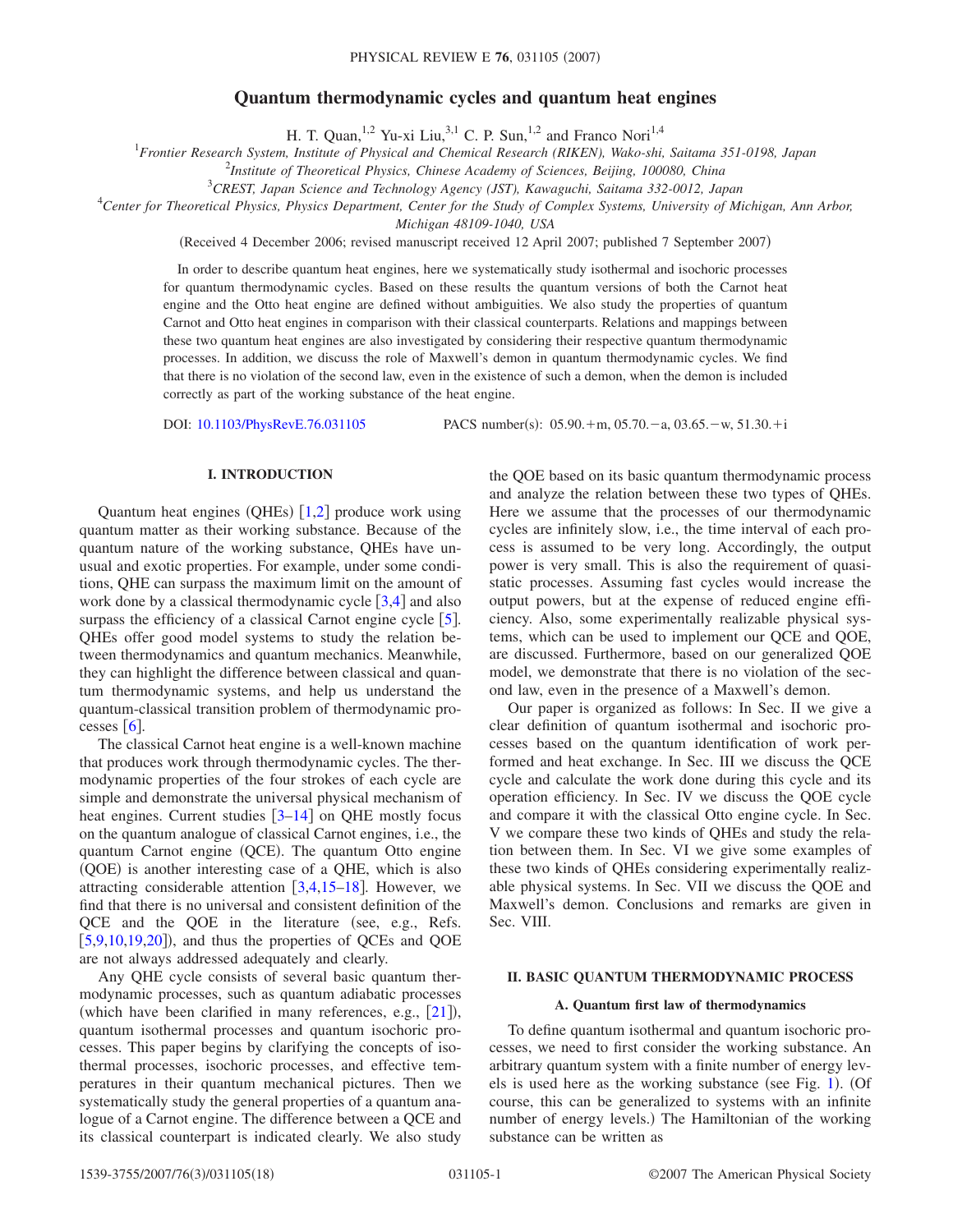# **Quantum thermodynamic cycles and quantum heat engines**

H. T. Quan, <sup>1,2</sup> Yu-xi Liu,<sup>3,1</sup> C. P. Sun,<sup>1,2</sup> and Franco Nori<sup>1,4</sup>

1 *Frontier Research System, Institute of Physical and Chemical Research (RIKEN), Wako-shi, Saitama 351-0198, Japan*

2 *Institute of Theoretical Physics, Chinese Academy of Sciences, Beijing, 100080, China*

3 *CREST, Japan Science and Technology Agency (JST), Kawaguchi, Saitama 332-0012, Japan*

4 *Center for Theoretical Physics, Physics Department, Center for the Study of Complex Systems, University of Michigan, Ann Arbor,*

*Michigan 48109-1040, USA*

(Received 4 December 2006; revised manuscript received 12 April 2007; published 7 September 2007)

In order to describe quantum heat engines, here we systematically study isothermal and isochoric processes for quantum thermodynamic cycles. Based on these results the quantum versions of both the Carnot heat engine and the Otto heat engine are defined without ambiguities. We also study the properties of quantum Carnot and Otto heat engines in comparison with their classical counterparts. Relations and mappings between these two quantum heat engines are also investigated by considering their respective quantum thermodynamic processes. In addition, we discuss the role of Maxwell's demon in quantum thermodynamic cycles. We find that there is no violation of the second law, even in the existence of such a demon, when the demon is included correctly as part of the working substance of the heat engine.

DOI: [10.1103/PhysRevE.76.031105](http://dx.doi.org/10.1103/PhysRevE.76.031105)

 $: 05.90 + m, 05.70 - a, 03.65 - w, 51.30 + i$ 

## **I. INTRODUCTION**

Quantum heat engines (QHEs)  $[1,2]$  $[1,2]$  $[1,2]$  $[1,2]$  produce work using quantum matter as their working substance. Because of the quantum nature of the working substance, QHEs have unusual and exotic properties. For example, under some conditions, QHE can surpass the maximum limit on the amount of work done by a classical thermodynamic cycle  $\lceil 3,4 \rceil$  $\lceil 3,4 \rceil$  $\lceil 3,4 \rceil$  $\lceil 3,4 \rceil$  and also surpass the efficiency of a classical Carnot engine cycle  $\lceil 5 \rceil$  $\lceil 5 \rceil$  $\lceil 5 \rceil$ . QHEs offer good model systems to study the relation between thermodynamics and quantum mechanics. Meanwhile, they can highlight the difference between classical and quantum thermodynamic systems, and help us understand the quantum-classical transition problem of thermodynamic processes  $\lceil 6 \rceil$  $\lceil 6 \rceil$  $\lceil 6 \rceil$ .

The classical Carnot heat engine is a well-known machine that produces work through thermodynamic cycles. The thermodynamic properties of the four strokes of each cycle are simple and demonstrate the universal physical mechanism of heat engines. Current studies  $\lceil 3-14 \rceil$  $\lceil 3-14 \rceil$  $\lceil 3-14 \rceil$  on QHE mostly focus on the quantum analogue of classical Carnot engines, i.e., the quantum Carnot engine (QCE). The quantum Otto engine (QOE) is another interesting case of a QHE, which is also attracting considerable attention  $[3,4,15-18]$  $[3,4,15-18]$  $[3,4,15-18]$  $[3,4,15-18]$  $[3,4,15-18]$ . However, we find that there is no universal and consistent definition of the QCE and the QOE in the literature (see, e.g., Refs.  $[5,9,10,19,20]$  $[5,9,10,19,20]$  $[5,9,10,19,20]$  $[5,9,10,19,20]$  $[5,9,10,19,20]$  $[5,9,10,19,20]$  $[5,9,10,19,20]$ ), and thus the properties of QCEs and QOE are not always addressed adequately and clearly.

Any QHE cycle consists of several basic quantum thermodynamic processes, such as quantum adiabatic processes (which have been clarified in many references, e.g.,  $[21]$  $[21]$  $[21]$ ), quantum isothermal processes and quantum isochoric processes. This paper begins by clarifying the concepts of isothermal processes, isochoric processes, and effective temperatures in their quantum mechanical pictures. Then we systematically study the general properties of a quantum analogue of a Carnot engine. The difference between a QCE and its classical counterpart is indicated clearly. We also study

the QOE based on its basic quantum thermodynamic process and analyze the relation between these two types of QHEs. Here we assume that the processes of our thermodynamic cycles are infinitely slow, i.e., the time interval of each process is assumed to be very long. Accordingly, the output power is very small. This is also the requirement of quasistatic processes. Assuming fast cycles would increase the output powers, but at the expense of reduced engine efficiency. Also, some experimentally realizable physical systems, which can be used to implement our QCE and QOE, are discussed. Furthermore, based on our generalized QOE model, we demonstrate that there is no violation of the second law, even in the presence of a Maxwell's demon.

Our paper is organized as follows: In Sec. II we give a clear definition of quantum isothermal and isochoric processes based on the quantum identification of work performed and heat exchange. In Sec. III we discuss the QCE cycle and calculate the work done during this cycle and its operation efficiency. In Sec. IV we discuss the QOE cycle and compare it with the classical Otto engine cycle. In Sec. V we compare these two kinds of QHEs and study the relation between them. In Sec. VI we give some examples of these two kinds of QHEs considering experimentally realizable physical systems. In Sec. VII we discuss the QOE and Maxwell's demon. Conclusions and remarks are given in Sec. VIII.

## **II. BASIC QUANTUM THERMODYNAMIC PROCESS**

### **A. Quantum first law of thermodynamics**

To define quantum isothermal and quantum isochoric processes, we need to first consider the working substance. An arbitrary quantum system with a finite number of energy lev-els is used here as the working substance (see Fig. [1](#page-1-0)). (Of course, this can be generalized to systems with an infinite number of energy levels.) The Hamiltonian of the working substance can be written as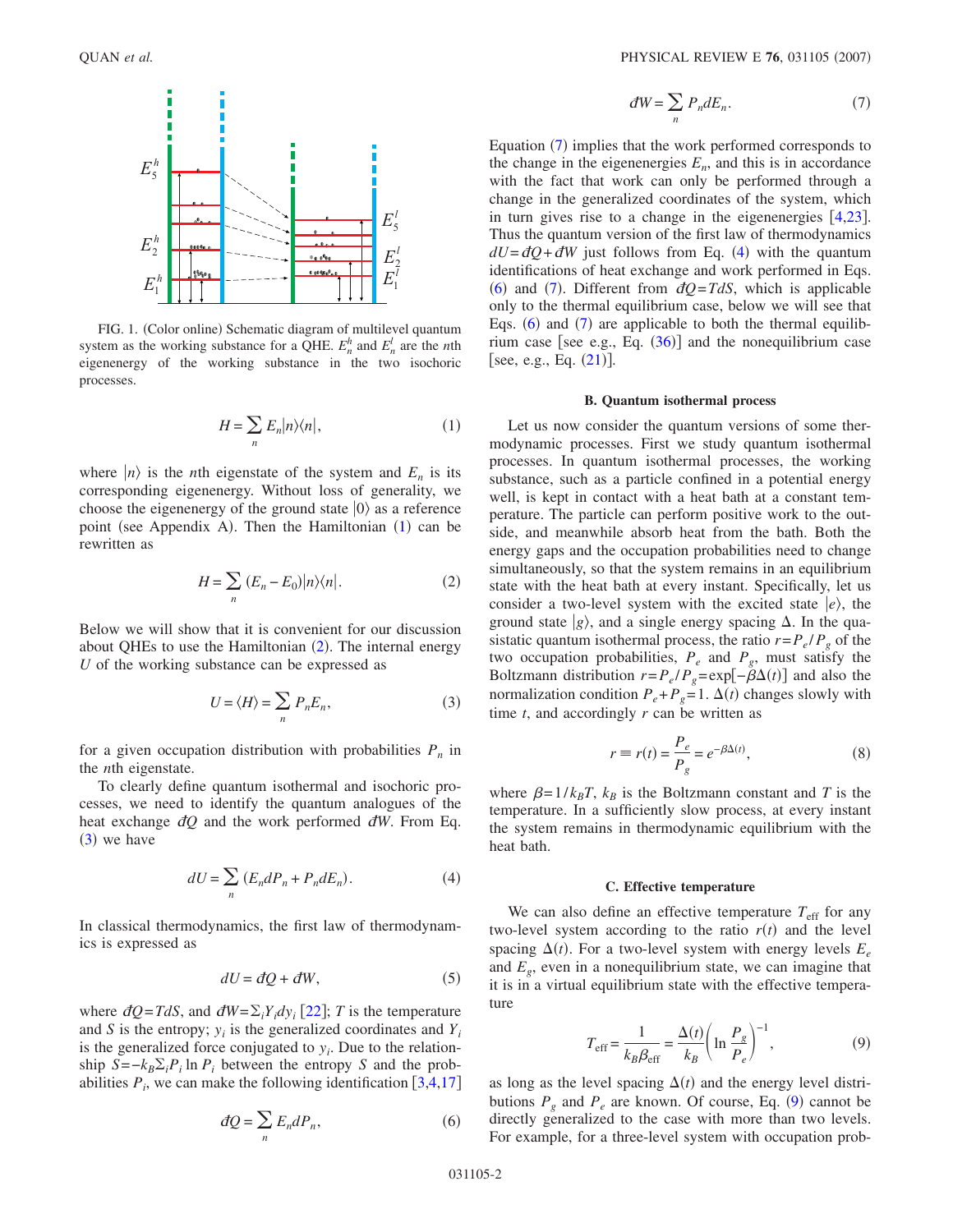<span id="page-1-0"></span>

FIG. 1. (Color online) Schematic diagram of multilevel quantum system as the working substance for a QHE.  $E_n^h$  and  $E_n^l$  are the *n*th eigenenergy of the working substance in the two isochoric processes.

$$
H = \sum_{n} E_n |n\rangle\langle n|,\tag{1}
$$

<span id="page-1-1"></span>where  $|n\rangle$  is the *n*th eigenstate of the system and  $E_n$  is its corresponding eigenenergy. Without loss of generality, we choose the eigenenergy of the ground state  $|0\rangle$  as a reference point (see Appendix A). Then the Hamiltonian ([1](#page-1-1)) can be rewritten as

$$
H = \sum_{n} (E_n - E_0)|n\rangle\langle n|.
$$
 (2)

<span id="page-1-2"></span>Below we will show that it is convenient for our discussion about QHEs to use the Hamiltonian  $(2)$  $(2)$  $(2)$ . The internal energy *U* of the working substance can be expressed as

$$
U = \langle H \rangle = \sum_{n} P_{n} E_{n}, \tag{3}
$$

<span id="page-1-3"></span>for a given occupation distribution with probabilities  $P_n$  in the *n*th eigenstate.

To clearly define quantum isothermal and isochoric processes, we need to identify the quantum analogues of the heat exchange  $dQ$  and the work performed  $dW$ . From Eq.  $(3)$  $(3)$  $(3)$  we have

$$
dU = \sum_{n} \left( E_n dP_n + P_n dE_n \right). \tag{4}
$$

<span id="page-1-5"></span>In classical thermodynamics, the first law of thermodynamics is expressed as

$$
dU = dQ + dW, \tag{5}
$$

<span id="page-1-6"></span>where  $dQ = TdS$ , and  $dW = \sum_i Y_i dy_i$  [[22](#page-17-3)]; *T* is the temperature and *S* is the entropy;  $y_i$  is the generalized coordinates and  $Y_i$ is the generalized force conjugated to  $y_i$ . Due to the relationship  $S = -k_B \sum_i P_i \ln P_i$  between the entropy *S* and the probabilities  $P_i$ , we can make the following identification  $[3,4,17]$  $[3,4,17]$  $[3,4,17]$  $[3,4,17]$  $[3,4,17]$ 

$$
dQ = \sum_{n} E_n dP_n, \tag{6}
$$

$$
dW = \sum_{n} P_n dE_n.
$$
 (7)

<span id="page-1-4"></span>Equation ([7](#page-1-4)) implies that the work performed corresponds to the change in the eigenenergies  $E_n$ , and this is in accordance with the fact that work can only be performed through a change in the generalized coordinates of the system, which in turn gives rise to a change in the eigenenergies  $[4,23]$  $[4,23]$  $[4,23]$  $[4,23]$ . Thus the quantum version of the first law of thermodynamics  $dU = dQ + dW$  just follows from Eq. ([4](#page-1-5)) with the quantum identifications of heat exchange and work performed in Eqs. ([6](#page-1-6)) and ([7](#page-1-4)). Different from  $dQ = TdS$ , which is applicable only to the thermal equilibrium case, below we will see that Eqs.  $(6)$  $(6)$  $(6)$  and  $(7)$  $(7)$  $(7)$  are applicable to both the thermal equilibrium case [see e.g., Eq.  $(36)$  $(36)$  $(36)$ ] and the nonequilibrium case [see, e.g., Eq.  $(21)$  $(21)$  $(21)$ ].

### **B. Quantum isothermal process**

Let us now consider the quantum versions of some thermodynamic processes. First we study quantum isothermal processes. In quantum isothermal processes, the working substance, such as a particle confined in a potential energy well, is kept in contact with a heat bath at a constant temperature. The particle can perform positive work to the outside, and meanwhile absorb heat from the bath. Both the energy gaps and the occupation probabilities need to change simultaneously, so that the system remains in an equilibrium state with the heat bath at every instant. Specifically, let us consider a two-level system with the excited state  $|e\rangle$ , the ground state  $|g\rangle$ , and a single energy spacing  $\Delta$ . In the quasistatic quantum isothermal process, the ratio  $r = P_e / P_g$  of the two occupation probabilities,  $P_e$  and  $P_g$ , must satisfy the Boltzmann distribution  $r = P_e / P_g = \exp[-\beta \Delta(t)]$  and also the normalization condition  $P_e + P_g = 1$ .  $\Delta(t)$  changes slowly with time *t*, and accordingly *r* can be written as

$$
r \equiv r(t) = \frac{P_e}{P_g} = e^{-\beta \Delta(t)},\tag{8}
$$

where  $\beta = 1/k_B T$ ,  $k_B$  is the Boltzmann constant and *T* is the temperature. In a sufficiently slow process, at every instant the system remains in thermodynamic equilibrium with the heat bath.

#### **C. Effective temperature**

We can also define an effective temperature  $T_{\text{eff}}$  for any two-level system according to the ratio  $r(t)$  and the level spacing  $\Delta(t)$ . For a two-level system with energy levels  $E_e$ and *Eg*, even in a nonequilibrium state, we can imagine that it is in a virtual equilibrium state with the effective temperature

$$
T_{\rm eff} = \frac{1}{k_B \beta_{\rm eff}} = \frac{\Delta(t)}{k_B} \left( \ln \frac{P_g}{P_e} \right)^{-1},\tag{9}
$$

<span id="page-1-7"></span>as long as the level spacing  $\Delta(t)$  and the energy level distributions  $P_g$  and  $P_e$  are known. Of course, Eq. ([9](#page-1-7)) cannot be directly generalized to the case with more than two levels. For example, for a three-level system with occupation prob-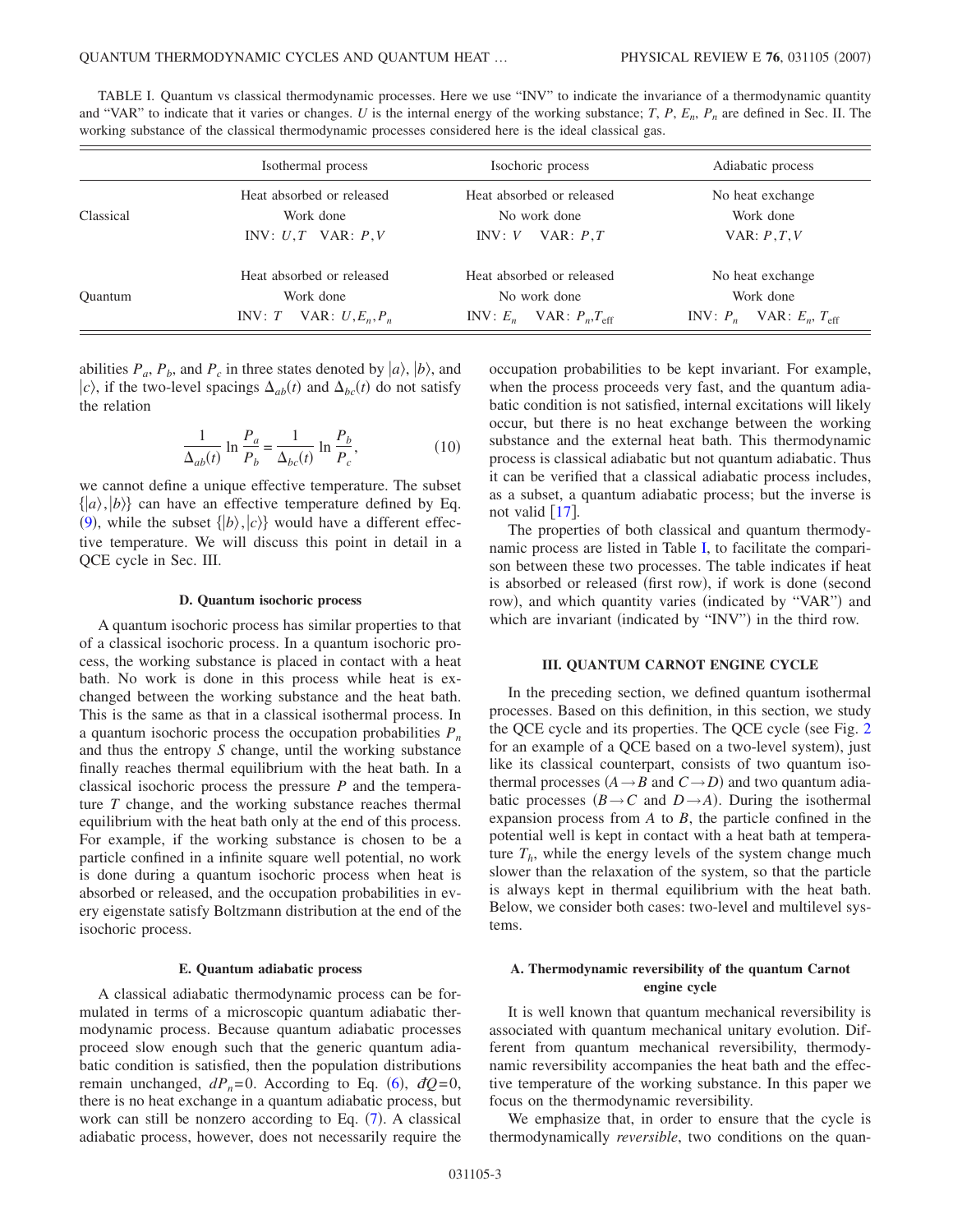<span id="page-2-0"></span>

|  | TABLE I. Quantum vs classical thermodynamic processes. Here we use "INV" to indicate the invariance of a thermodynamic quantity                     |  |  |  |  |  |
|--|-----------------------------------------------------------------------------------------------------------------------------------------------------|--|--|--|--|--|
|  | and "VAR" to indicate that it varies or changes. U is the internal energy of the working substance; T, P, $E_n$ , $P_n$ are defined in Sec. II. The |  |  |  |  |  |
|  | working substance of the classical thermodynamic processes considered here is the ideal classical gas.                                              |  |  |  |  |  |

|                | Isothermal process                                                  | Isochoric process                                                                  | Adiabatic process                                                             |  |  |
|----------------|---------------------------------------------------------------------|------------------------------------------------------------------------------------|-------------------------------------------------------------------------------|--|--|
| Classical      | Heat absorbed or released<br>Work done<br>INV: $U, T$ VAR: $P, V$   | Heat absorbed or released<br>No work done<br>VAR: $P, T$<br>INV: V                 | No heat exchange.<br>Work done<br>VAR: $P, T, V$                              |  |  |
| <b>Ouantum</b> | Heat absorbed or released<br>Work done<br>INV: T VAR: $U, E_n, P_n$ | Heat absorbed or released<br>No work done<br>INV: $E_n$ VAR: $P_n, T_{\text{eff}}$ | No heat exchange.<br>Work done<br>VAR: $E_n$ , $T_{\text{eff}}$<br>$INV: P_n$ |  |  |

abilities  $P_a$ ,  $P_b$ , and  $P_c$  in three states denoted by  $|a\rangle$ ,  $|b\rangle$ , and  $|c\rangle$ , if the two-level spacings  $\Delta_{ab}(t)$  and  $\Delta_{bc}(t)$  do not satisfy the relation

$$
\frac{1}{\Delta_{ab}(t)} \ln \frac{P_a}{P_b} = \frac{1}{\Delta_{bc}(t)} \ln \frac{P_b}{P_c},
$$
\n(10)

we cannot define a unique effective temperature. The subset  $\{|a\rangle, |b\rangle\}$  can have an effective temperature defined by Eq. ([9](#page-1-7)), while the subset  $\{|b\rangle, |c\rangle\}$  would have a different effective temperature. We will discuss this point in detail in a QCE cycle in Sec. III.

### **D. Quantum isochoric process**

A quantum isochoric process has similar properties to that of a classical isochoric process. In a quantum isochoric process, the working substance is placed in contact with a heat bath. No work is done in this process while heat is exchanged between the working substance and the heat bath. This is the same as that in a classical isothermal process. In a quantum isochoric process the occupation probabilities  $P_n$ and thus the entropy *S* change, until the working substance finally reaches thermal equilibrium with the heat bath. In a classical isochoric process the pressure *P* and the temperature *T* change, and the working substance reaches thermal equilibrium with the heat bath only at the end of this process. For example, if the working substance is chosen to be a particle confined in a infinite square well potential, no work is done during a quantum isochoric process when heat is absorbed or released, and the occupation probabilities in every eigenstate satisfy Boltzmann distribution at the end of the isochoric process.

### **E. Quantum adiabatic process**

A classical adiabatic thermodynamic process can be formulated in terms of a microscopic quantum adiabatic thermodynamic process. Because quantum adiabatic processes proceed slow enough such that the generic quantum adiabatic condition is satisfied, then the population distributions remain unchanged,  $dP_n = 0$ . According to Eq. ([6](#page-1-6)),  $dQ = 0$ , there is no heat exchange in a quantum adiabatic process, but work can still be nonzero according to Eq. ([7](#page-1-4)). A classical adiabatic process, however, does not necessarily require the occupation probabilities to be kept invariant. For example, when the process proceeds very fast, and the quantum adiabatic condition is not satisfied, internal excitations will likely occur, but there is no heat exchange between the working substance and the external heat bath. This thermodynamic process is classical adiabatic but not quantum adiabatic. Thus it can be verified that a classical adiabatic process includes, as a subset, a quantum adiabatic process; but the inverse is not valid  $\lceil 17 \rceil$  $\lceil 17 \rceil$  $\lceil 17 \rceil$ .

The properties of both classical and quantum thermodynamic process are listed in Table [I,](#page-2-0) to facilitate the comparison between these two processes. The table indicates if heat is absorbed or released (first row), if work is done (second row), and which quantity varies (indicated by "VAR") and which are invariant (indicated by "INV") in the third row.

## **III. QUANTUM CARNOT ENGINE CYCLE**

In the preceding section, we defined quantum isothermal processes. Based on this definition, in this section, we study the QCE cycle and its properties. The QCE cycle (see Fig. [2](#page-3-0)) for an example of a QCE based on a two-level system), just like its classical counterpart, consists of two quantum isothermal processes  $(A \rightarrow B \text{ and } C \rightarrow D)$  and two quantum adiabatic processes  $(B \rightarrow C \text{ and } D \rightarrow A)$ . During the isothermal expansion process from *A* to *B*, the particle confined in the potential well is kept in contact with a heat bath at temperature  $T_h$ , while the energy levels of the system change much slower than the relaxation of the system, so that the particle is always kept in thermal equilibrium with the heat bath. Below, we consider both cases: two-level and multilevel systems.

# **A. Thermodynamic reversibility of the quantum Carnot engine cycle**

It is well known that quantum mechanical reversibility is associated with quantum mechanical unitary evolution. Different from quantum mechanical reversibility, thermodynamic reversibility accompanies the heat bath and the effective temperature of the working substance. In this paper we focus on the thermodynamic reversibility.

We emphasize that, in order to ensure that the cycle is thermodynamically *reversible*, two conditions on the quan-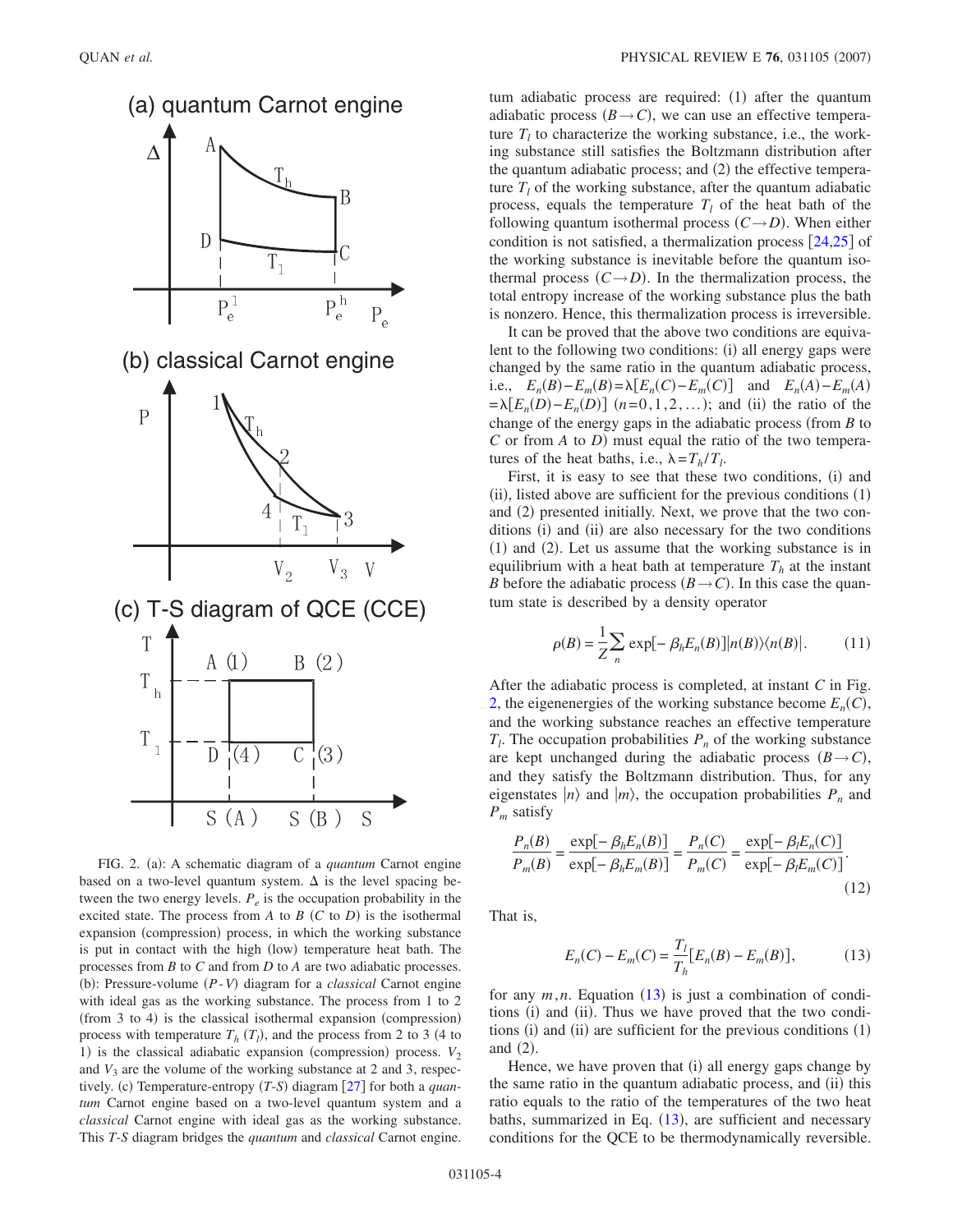<span id="page-3-0"></span>

FIG. 2. (a): A schematic diagram of a *quantum* Carnot engine based on a two-level quantum system.  $\Delta$  is the level spacing between the two energy levels.  $P_e$  is the occupation probability in the excited state. The process from  $A$  to  $B$  ( $C$  to  $D$ ) is the isothermal expansion (compression) process, in which the working substance is put in contact with the high (low) temperature heat bath. The processes from *B* to *C* and from *D* to *A* are two adiabatic processes. (b): Pressure-volume (P-V) diagram for a *classical* Carnot engine with ideal gas as the working substance. The process from 1 to 2 (from 3 to 4) is the classical isothermal expansion (compression) process with temperature  $T_h$   $(T_l)$ , and the process from 2 to 3 (4 to 1) is the classical adiabatic expansion (compression) process.  $V_2$ and  $V_3$  are the volume of the working substance at 2 and 3, respectively. (c) Temperature-entropy (*T*-*S*) diagram [[27](#page-17-8)] for both a *quantum* Carnot engine based on a two-level quantum system and a *classical* Carnot engine with ideal gas as the working substance. This *T*-*S* diagram bridges the *quantum* and *classical* Carnot engine.

tum adiabatic process are required: (1) after the quantum adiabatic process  $(B \rightarrow C)$ , we can use an effective temperature  $T_l$  to characterize the working substance, i.e., the working substance still satisfies the Boltzmann distribution after the quantum adiabatic process; and (2) the effective temperature  $T_l$  of the working substance, after the quantum adiabatic process, equals the temperature  $T_l$  of the heat bath of the following quantum isothermal process  $(C \rightarrow D)$ . When either condition is not satisfied, a thermalization process  $[24,25]$  $[24,25]$  $[24,25]$  $[24,25]$  of the working substance is inevitable before the quantum isothermal process  $(C \rightarrow D)$ . In the thermalization process, the total entropy increase of the working substance plus the bath is nonzero. Hence, this thermalization process is irreversible.

It can be proved that the above two conditions are equivalent to the following two conditions: (i) all energy gaps were changed by the same ratio in the quantum adiabatic process, i.e.,  $E_n(B) - E_m(B) = \lambda [E_n(C) - E_m(C)]$  and  $E_n(A) - E_m(A)$  $= \lambda [E_n(D) - E_n(D)]$  (*n*=0,1,2,...); and (ii) the ratio of the change of the energy gaps in the adiabatic process (from *B* to  $C$  or from  $A$  to  $D$ ) must equal the ratio of the two temperatures of the heat baths, i.e.,  $\lambda = T_h / T_l$ .

First, it is easy to see that these two conditions, (i) and (ii), listed above are sufficient for the previous conditions (1) and (2) presented initially. Next, we prove that the two conditions (i) and (ii) are also necessary for the two conditions  $(1)$  and  $(2)$ . Let us assume that the working substance is in equilibrium with a heat bath at temperature  $T<sub>h</sub>$  at the instant *B* before the adiabatic process  $(B \rightarrow C)$ . In this case the quantum state is described by a density operator

$$
\rho(B) = \frac{1}{Z} \sum_{n} \exp[-\beta_n E_n(B)] |n(B)\rangle \langle n(B)|. \tag{11}
$$

After the adiabatic process is completed, at instant *C* in Fig. [2,](#page-3-0) the eigenenergies of the working substance become  $E_n(C)$ , and the working substance reaches an effective temperature  $T_l$ . The occupation probabilities  $P_n$  of the working substance are kept unchanged during the adiabatic process  $(B \rightarrow C)$ , and they satisfy the Boltzmann distribution. Thus, for any eigenstates  $|n\rangle$  and  $|m\rangle$ , the occupation probabilities  $P_n$  and *Pm* satisfy

$$
\frac{P_n(B)}{P_m(B)} = \frac{\exp[-\beta_h E_n(B)]}{\exp[-\beta_h E_m(B)]} = \frac{P_n(C)}{P_m(C)} = \frac{\exp[-\beta_l E_n(C)]}{\exp[-\beta_l E_m(C)]}.
$$
\n(12)

<span id="page-3-1"></span>That is,

$$
E_n(C) - E_m(C) = \frac{T_l}{T_h} [E_n(B) - E_m(B)],
$$
 (13)

for any  $m, n$ . Equation  $(13)$  $(13)$  $(13)$  is just a combination of conditions (i) and (ii). Thus we have proved that the two conditions (i) and (ii) are sufficient for the previous conditions (1) and  $(2)$ .

Hence, we have proven that (i) all energy gaps change by the same ratio in the quantum adiabatic process, and (ii) this ratio equals to the ratio of the temperatures of the two heat baths, summarized in Eq.  $(13)$  $(13)$  $(13)$ , are sufficient and necessary conditions for the QCE to be thermodynamically reversible.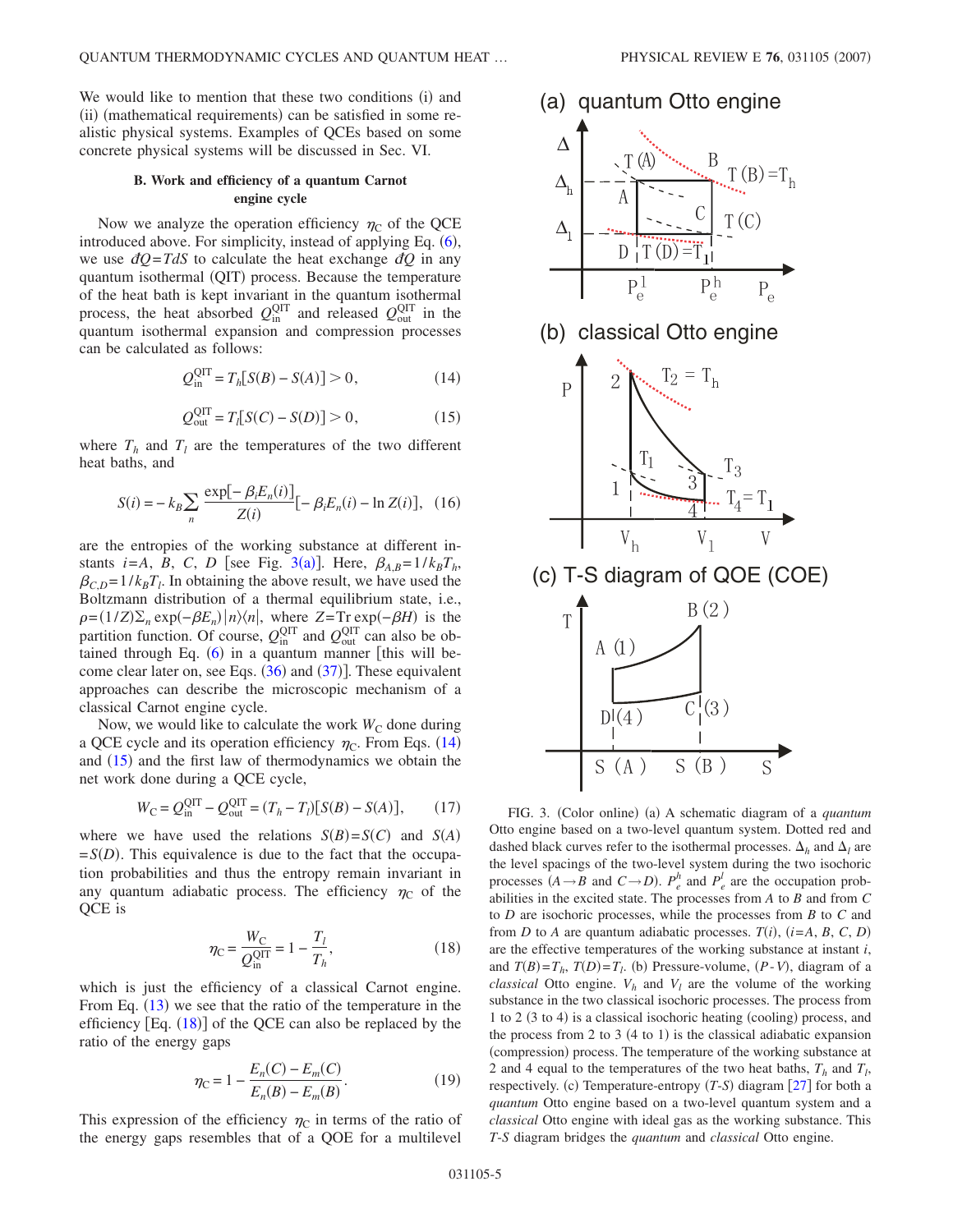We would like to mention that these two conditions (i) and (ii) (mathematical requirements) can be satisfied in some realistic physical systems. Examples of QCEs based on some concrete physical systems will be discussed in Sec. VI.

# **B. Work and efficiency of a quantum Carnot engine cycle**

Now we analyze the operation efficiency  $\eta_c$  of the QCE introduced above. For simplicity, instead of applying Eq.  $(6)$  $(6)$  $(6)$ , we use  $dQ = TdS$  to calculate the heat exchange  $dQ$  in any quantum isothermal (QIT) process. Because the temperature of the heat bath is kept invariant in the quantum isothermal process, the heat absorbed  $Q_{\text{in}}^{\text{QIT}}$  and released  $Q_{\text{out}}^{\text{QIT}}$  in the quantum isothermal expansion and compression processes can be calculated as follows:

$$
Q_{\text{in}}^{\text{QIT}} = T_h[S(B) - S(A)] > 0,\tag{14}
$$

$$
Q_{\text{out}}^{\text{QIT}} = T_L[S(C) - S(D)] > 0,\tag{15}
$$

<span id="page-4-6"></span><span id="page-4-2"></span><span id="page-4-1"></span>where  $T_h$  and  $T_l$  are the temperatures of the two different heat baths, and

$$
S(i) = -k_B \sum_{n} \frac{\exp[-\beta_i E_n(i)]}{Z(i)} [-\beta_i E_n(i) - \ln Z(i)], \quad (16)
$$

are the entropies of the working substance at different instants *i*=*A*, *B*, *C*, *D* [see Fig. [3](#page-4-0)(a)]. Here,  $\beta_{A,B} = 1/k_B T_h$ ,  $\beta_{C,D} = 1/k_B T_l$ . In obtaining the above result, we have used the Boltzmann distribution of a thermal equilibrium state, i.e.,  $\rho = (1/Z)\sum_{n} \exp(-\beta E_n) |n\rangle\langle n|$ , where *Z*=Tr exp(*-* $\beta H$ ) is the partition function. Of course,  $Q_{\text{in}}^{\text{QIT}}$  and  $Q_{\text{out}}^{\text{QIT}}$  can also be obtained through Eq.  $(6)$  $(6)$  $(6)$  in a quantum manner [this will become clear later on, see Eqs.  $(36)$  $(36)$  $(36)$  and  $(37)$  $(37)$  $(37)$ ]. These equivalent approaches can describe the microscopic mechanism of a classical Carnot engine cycle.

Now, we would like to calculate the work  $W_C$  done during a QCE cycle and its operation efficiency  $\eta_c$ . From Eqs. ([14](#page-4-1)) and ([15](#page-4-2)) and the first law of thermodynamics we obtain the net work done during a QCE cycle,

$$
W_{\rm C} = Q_{\rm in}^{\rm QIT} - Q_{\rm out}^{\rm QIT} = (T_h - T_l)[S(B) - S(A)],\tag{17}
$$

<span id="page-4-5"></span>where we have used the relations  $S(B) = S(C)$  and  $S(A)$  $=S(D)$ . This equivalence is due to the fact that the occupation probabilities and thus the entropy remain invariant in any quantum adiabatic process. The efficiency  $\eta_c$  of the QCE is

$$
\eta_{\rm C} = \frac{W_{\rm C}}{Q_{\rm in}^{\rm QIT}} = 1 - \frac{T_l}{T_h},\tag{18}
$$

<span id="page-4-3"></span>which is just the efficiency of a classical Carnot engine. From Eq.  $(13)$  $(13)$  $(13)$  we see that the ratio of the temperature in the efficiency  $[Eq. (18)]$  $[Eq. (18)]$  $[Eq. (18)]$  of the QCE can also be replaced by the ratio of the energy gaps

$$
\eta_{\rm C} = 1 - \frac{E_n(C) - E_m(C)}{E_n(B) - E_m(B)}.\tag{19}
$$

<span id="page-4-4"></span>This expression of the efficiency  $\eta_c$  in terms of the ratio of the energy gaps resembles that of a QOE for a multilevel

<span id="page-4-0"></span>

FIG. 3. (Color online) (a) A schematic diagram of a *quantum* Otto engine based on a two-level quantum system. Dotted red and dashed black curves refer to the isothermal processes.  $\Delta_h$  and  $\Delta_l$  are the level spacings of the two-level system during the two isochoric processes  $(A \rightarrow B$  and  $C \rightarrow D$ ).  $P_e^h$  and  $P_e^l$  are the occupation probabilities in the excited state. The processes from *A* to *B* and from *C* to *D* are isochoric processes, while the processes from *B* to *C* and from *D* to *A* are quantum adiabatic processes.  $T(i)$ ,  $(i=A, B, C, D)$ are the effective temperatures of the working substance at instant *i*, and  $T(B) = T_h$ ,  $T(D) = T_l$ . (b) Pressure-volume,  $(P - V)$ , diagram of a *classical* Otto engine.  $V_h$  and  $V_l$  are the volume of the working substance in the two classical isochoric processes. The process from 1 to 2 (3 to 4) is a classical isochoric heating (cooling) process, and the process from 2 to 3  $(4 \text{ to } 1)$  is the classical adiabatic expansion (compression) process. The temperature of the working substance at 2 and 4 equal to the temperatures of the two heat baths,  $T_h$  and  $T_l$ , respectively. (c) Temperature-entropy (*T*-*S*) diagram [[27](#page-17-8)] for both a *quantum* Otto engine based on a two-level quantum system and a *classical* Otto engine with ideal gas as the working substance. This *T*-*S* diagram bridges the *quantum* and *classical* Otto engine.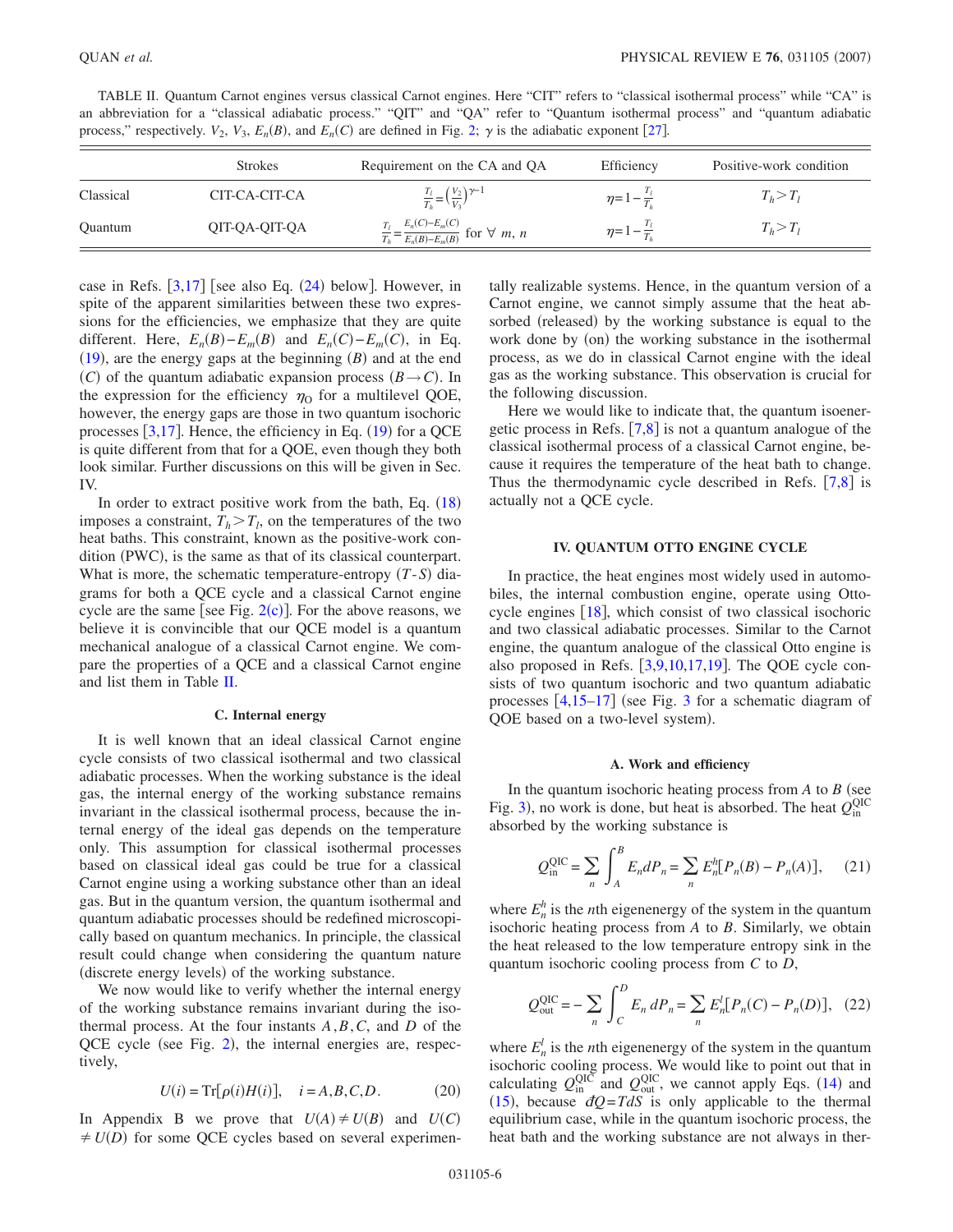<span id="page-5-1"></span>TABLE II. Quantum Carnot engines versus classical Carnot engines. Here "CIT" refers to "classical isothermal process" while "CA" is an abbreviation for a "classical adiabatic process." "QIT" and "QA" refer to "Quantum isothermal process" and "quantum adiabatic process," respectively.  $V_2$ ,  $V_3$ ,  $E_n(B)$ , and  $E_n(C)$  are defined in Fig. [2;](#page-3-0)  $\gamma$  is the adiabatic exponent [[27](#page-17-8)].

|           | <b>Strokes</b> | Requirement on the CA and QA                                                   | Efficiency               | Positive-work condition |
|-----------|----------------|--------------------------------------------------------------------------------|--------------------------|-------------------------|
| Classical | CIT-CA-CIT-CA  | $\frac{T_l}{T_h} = \left(\frac{V_2}{V_2}\right)^{\gamma - 1}$                  | $\eta = 1 - \frac{r}{T}$ | $T_h > T_l$             |
| Quantum   | QIT-QA-QIT-QA  | $\frac{T_l}{T_h} = \frac{E_n(C) - E_m(C)}{E_n(B) - E_m(B)}$ for $\forall m, n$ | $\eta = 1 - \frac{1}{T}$ | $T_h > T_l$             |

case in Refs.  $[3,17]$  $[3,17]$  $[3,17]$  $[3,17]$  [see also Eq.  $(24)$  $(24)$  $(24)$  below]. However, in spite of the apparent similarities between these two expressions for the efficiencies, we emphasize that they are quite different. Here,  $E_n(B) - E_m(B)$  and  $E_n(C) - E_m(C)$ , in Eq.  $(19)$  $(19)$  $(19)$ , are the energy gaps at the beginning  $(B)$  and at the end *(C)* of the quantum adiabatic expansion process  $(B \rightarrow C)$ . In the expression for the efficiency  $\eta_0$  for a multilevel QOE, however, the energy gaps are those in two quantum isochoric processes  $[3,17]$  $[3,17]$  $[3,17]$  $[3,17]$ . Hence, the efficiency in Eq.  $(19)$  $(19)$  $(19)$  for a QCE is quite different from that for a QOE, even though they both look similar. Further discussions on this will be given in Sec. IV.

In order to extract positive work from the bath, Eq.  $(18)$  $(18)$  $(18)$ imposes a constraint,  $T_h > T_l$ , on the temperatures of the two heat baths. This constraint, known as the positive-work condition (PWC), is the same as that of its classical counterpart. What is more, the schematic temperature-entropy  $(T - S)$  diagrams for both a QCE cycle and a classical Carnot engine cycle are the same [see Fig.  $2(c)$  $2(c)$ ]. For the above reasons, we believe it is convincible that our QCE model is a quantum mechanical analogue of a classical Carnot engine. We compare the properties of a QCE and a classical Carnot engine and list them in Table [II.](#page-5-1)

### **C. Internal energy**

It is well known that an ideal classical Carnot engine cycle consists of two classical isothermal and two classical adiabatic processes. When the working substance is the ideal gas, the internal energy of the working substance remains invariant in the classical isothermal process, because the internal energy of the ideal gas depends on the temperature only. This assumption for classical isothermal processes based on classical ideal gas could be true for a classical Carnot engine using a working substance other than an ideal gas. But in the quantum version, the quantum isothermal and quantum adiabatic processes should be redefined microscopically based on quantum mechanics. In principle, the classical result could change when considering the quantum nature (discrete energy levels) of the working substance.

We now would like to verify whether the internal energy of the working substance remains invariant during the isothermal process. At the four instants *A*,*B*,*C*, and *D* of the QCE cycle (see Fig.  $2$ ), the internal energies are, respectively,

$$
U(i) = \operatorname{Tr}[\rho(i)H(i)], \quad i = A, B, C, D. \tag{20}
$$

In Appendix B we prove that  $U(A) \neq U(B)$  and  $U(C)$  $\neq U(D)$  for some QCE cycles based on several experimentally realizable systems. Hence, in the quantum version of a Carnot engine, we cannot simply assume that the heat absorbed (released) by the working substance is equal to the work done by (on) the working substance in the isothermal process, as we do in classical Carnot engine with the ideal gas as the working substance. This observation is crucial for the following discussion.

Here we would like to indicate that, the quantum isoenergetic process in Refs.  $[7,8]$  $[7,8]$  $[7,8]$  $[7,8]$  is not a quantum analogue of the classical isothermal process of a classical Carnot engine, because it requires the temperature of the heat bath to change. Thus the thermodynamic cycle described in Refs.  $[7,8]$  $[7,8]$  $[7,8]$  $[7,8]$  is actually not a QCE cycle.

## **IV. QUANTUM OTTO ENGINE CYCLE**

In practice, the heat engines most widely used in automobiles, the internal combustion engine, operate using Ottocycle engines  $[18]$  $[18]$  $[18]$ , which consist of two classical isochoric and two classical adiabatic processes. Similar to the Carnot engine, the quantum analogue of the classical Otto engine is also proposed in Refs.  $[3,9,10,17,19]$  $[3,9,10,17,19]$  $[3,9,10,17,19]$  $[3,9,10,17,19]$  $[3,9,10,17,19]$  $[3,9,10,17,19]$  $[3,9,10,17,19]$ . The QOE cycle consists of two quantum isochoric and two quantum adiabatic processes  $\lceil 4, 15-17 \rceil$  $\lceil 4, 15-17 \rceil$  $\lceil 4, 15-17 \rceil$  (see Fig. [3](#page-4-0) for a schematic diagram of QOE based on a two-level system).

### **A. Work and efficiency**

In the quantum isochoric heating process from  $A$  to  $B$  (see Fig. [3](#page-4-0)), no work is done, but heat is absorbed. The heat  $Q_{\text{in}}^{\text{QIC}}$ absorbed by the working substance is

<span id="page-5-0"></span>
$$
Q_{\text{in}}^{\text{QIC}} = \sum_{n} \int_{A}^{B} E_n dP_n = \sum_{n} E_n^h [P_n(B) - P_n(A)], \quad (21)
$$

where  $E_n^h$  is the *n*th eigenenergy of the system in the quantum isochoric heating process from *A* to *B*. Similarly, we obtain the heat released to the low temperature entropy sink in the quantum isochoric cooling process from *C* to *D*,

<span id="page-5-2"></span>
$$
Q_{\text{out}}^{\text{QIC}} = -\sum_{n} \int_{C}^{D} E_n \, dP_n = \sum_{n} E_n^l [P_n(C) - P_n(D)], \quad (22)
$$

where  $E_n^l$  is the *n*th eigenenergy of the system in the quantum isochoric cooling process. We would like to point out that in calculating  $Q_{\text{in}}^{\text{QIC}}$  and  $Q_{\text{out}}^{\text{QIC}}$ , we cannot apply Eqs. ([14](#page-4-1)) and  $(15)$  $(15)$  $(15)$ , because  $dQ = TdS$  is only applicable to the thermal equilibrium case, while in the quantum isochoric process, the heat bath and the working substance are not always in ther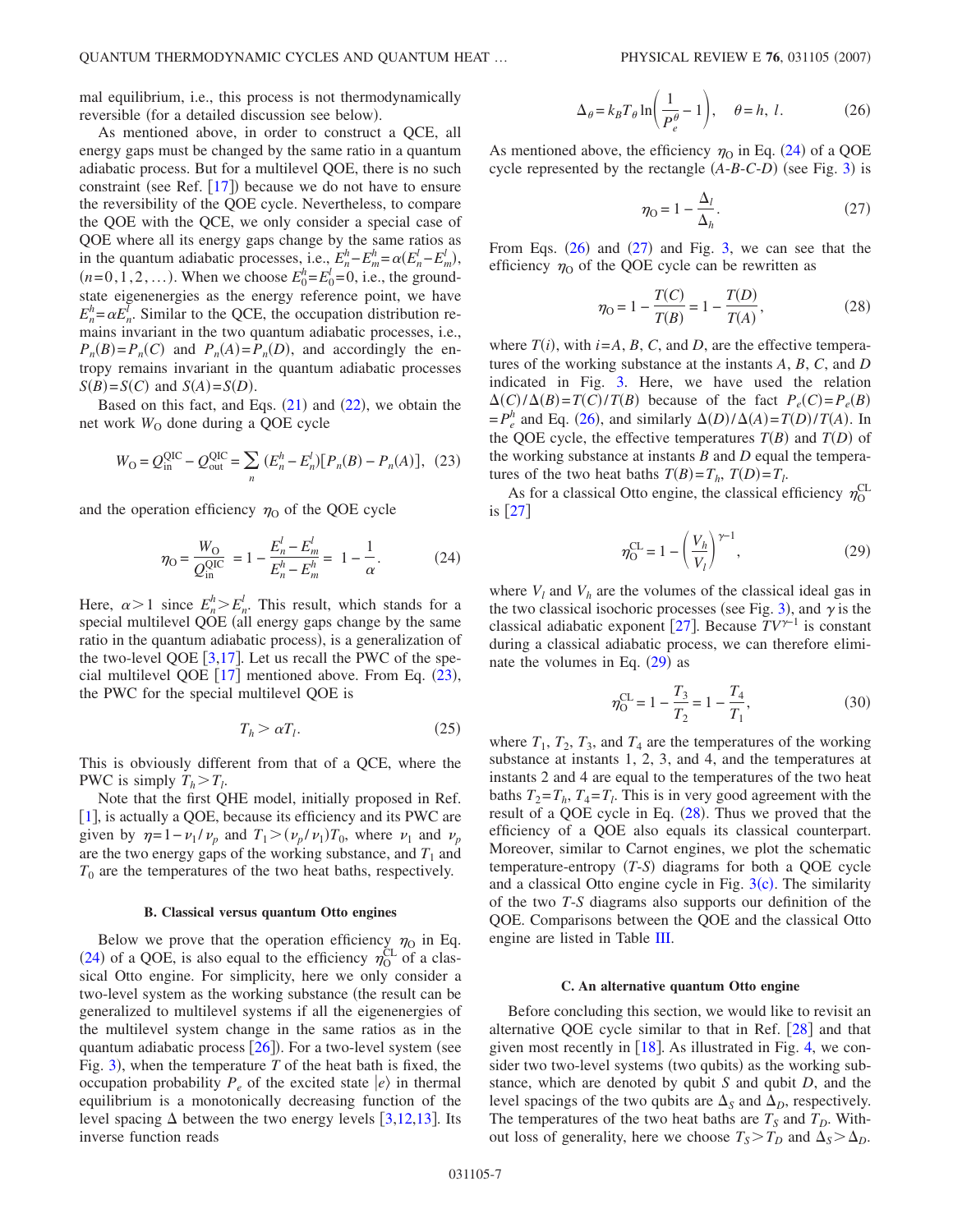mal equilibrium, i.e., this process is not thermodynamically reversible (for a detailed discussion see below).

As mentioned above, in order to construct a QCE, all energy gaps must be changed by the same ratio in a quantum adiabatic process. But for a multilevel QOE, there is no such constraint (see Ref.  $[17]$  $[17]$  $[17]$ ) because we do not have to ensure the reversibility of the QOE cycle. Nevertheless, to compare the QOE with the QCE, we only consider a special case of QOE where all its energy gaps change by the same ratios as in the quantum adiabatic processes, i.e.,  $E_n^h - E_m^h = \alpha(E_n^l - E_m^l)$ ,  $(n=0, 1, 2, ...)$ . When we choose  $E_0^h = E_0^l = 0$ , i.e., the groundstate eigenenergies as the energy reference point, we have  $E_n^h = \alpha E_n^l$ . Similar to the QCE, the occupation distribution remains invariant in the two quantum adiabatic processes, i.e.,  $P_n(B) = P_n(C)$  and  $P_n(A) = P_n(D)$ , and accordingly the entropy remains invariant in the quantum adiabatic processes  $S(B) = S(C)$  and  $S(A) = S(D)$ .

<span id="page-6-1"></span>Based on this fact, and Eqs.  $(21)$  $(21)$  $(21)$  and  $(22)$  $(22)$  $(22)$ , we obtain the net work  $W<sub>O</sub>$  done during a QOE cycle

$$
W_{\rm O} = Q_{\rm in}^{\rm QIC} - Q_{\rm out}^{\rm QIC} = \sum_{n} \left( E_n^h - E_n^l \right) \left[ P_n(B) - P_n(A) \right], \tag{23}
$$

<span id="page-6-0"></span>and the operation efficiency  $\eta_0$  of the QOE cycle

$$
\eta_{\rm O} = \frac{W_{\rm O}}{Q_{\rm in}^{\rm QIC}} = 1 - \frac{E_n^l - E_m^l}{E_n^h - E_m^h} = 1 - \frac{1}{\alpha}.
$$
 (24)

Here,  $\alpha > 1$  since  $E_n^h > E_n^l$ . This result, which stands for a special multilevel QOE (all energy gaps change by the same ratio in the quantum adiabatic process), is a generalization of the two-level QOE  $[3,17]$  $[3,17]$  $[3,17]$  $[3,17]$ . Let us recall the PWC of the special multilevel QOE  $[17]$  $[17]$  $[17]$  mentioned above. From Eq.  $(23)$  $(23)$  $(23)$ , the PWC for the special multilevel QOE is

$$
T_h > \alpha T_l. \tag{25}
$$

This is obviously different from that of a QCE, where the PWC is simply  $T_h > T_l$ .

Note that the first QHE model, initially proposed in Ref.  $[1]$  $[1]$  $[1]$ , is actually a QOE, because its efficiency and its PWC are given by  $\eta = 1 - \nu_1 / \nu_p$  and  $T_1 > (\nu_p / \nu_1) T_0$ , where  $\nu_1$  and  $\nu_p$ are the two energy gaps of the working substance, and  $T_1$  and  $T_0$  are the temperatures of the two heat baths, respectively.

### **B. Classical versus quantum Otto engines**

Below we prove that the operation efficiency  $\eta_0$  in Eq. ([24](#page-6-0)) of a QOE, is also equal to the efficiency  $\eta_{\rm O}^{\rm CL}$  of a classical Otto engine. For simplicity, here we only consider a two-level system as the working substance (the result can be generalized to multilevel systems if all the eigenenergies of the multilevel system change in the same ratios as in the quantum adiabatic process  $[26]$  $[26]$  $[26]$ ). For a two-level system (see Fig.  $3$ ), when the temperature *T* of the heat bath is fixed, the occupation probability  $P_e$  of the excited state  $|e\rangle$  in thermal equilibrium is a monotonically decreasing function of the level spacing  $\Delta$  between the two energy levels [[3,](#page-16-2)[12,](#page-16-13)[13](#page-16-14)]. Its inverse function reads

$$
\Delta_{\theta} = k_B T_{\theta} \ln \left( \frac{1}{P_e^{\theta}} - 1 \right), \quad \theta = h, l. \tag{26}
$$

<span id="page-6-3"></span><span id="page-6-2"></span>As mentioned above, the efficiency  $\eta_0$  in Eq. ([24](#page-6-0)) of a QOE cycle represented by the rectangle  $(A-B-C-D)$  (see Fig. [3](#page-4-0)) is

$$
\eta_{\rm O} = 1 - \frac{\Delta_l}{\Delta_h}.\tag{27}
$$

<span id="page-6-5"></span>From Eqs.  $(26)$  $(26)$  $(26)$  and  $(27)$  $(27)$  $(27)$  and Fig. [3,](#page-4-0) we can see that the efficiency  $\eta_0$  of the QOE cycle can be rewritten as

$$
\eta_{\rm O} = 1 - \frac{T(C)}{T(B)} = 1 - \frac{T(D)}{T(A)},\tag{28}
$$

where  $T(i)$ , with  $i = A, B, C$ , and  $D$ , are the effective temperatures of the working substance at the instants *A*, *B*, *C*, and *D* indicated in Fig. [3.](#page-4-0) Here, we have used the relation  $\Delta(C)/\Delta(B) = T(C)/T(B)$  because of the fact  $P_e(C) = P_e(B)$  $= P_e^h$  and Eq. ([26](#page-6-2)), and similarly  $\Delta(D)/\Delta(A) = T(D)/T(A)$ . In the QOE cycle, the effective temperatures  $T(B)$  and  $T(D)$  of the working substance at instants *B* and *D* equal the temperatures of the two heat baths  $T(B) = T_h$ ,  $T(D) = T_l$ .

<span id="page-6-4"></span>As for a classical Otto engine, the classical efficiency  $\eta_{0}^{\text{CL}}$ is  $\lceil 27 \rceil$  $\lceil 27 \rceil$  $\lceil 27 \rceil$ 

$$
\eta_{\mathcal{O}}^{\mathcal{CL}} = 1 - \left(\frac{V_h}{V_l}\right)^{\gamma - 1},\tag{29}
$$

where  $V_l$  and  $V_h$  are the volumes of the classical ideal gas in the two classical isochoric processes (see Fig. [3](#page-4-0)), and  $\gamma$  is the classical adiabatic exponent [[27](#page-17-8)]. Because  $TV^{\gamma-1}$  is constant during a classical adiabatic process, we can therefore eliminate the volumes in Eq.  $(29)$  $(29)$  $(29)$  as

$$
\eta_{\rm O}^{\rm CL} = 1 - \frac{T_3}{T_2} = 1 - \frac{T_4}{T_1},\tag{30}
$$

where  $T_1$ ,  $T_2$ ,  $T_3$ , and  $T_4$  are the temperatures of the working substance at instants 1, 2, 3, and 4, and the temperatures at instants 2 and 4 are equal to the temperatures of the two heat baths  $T_2 = T_h$ ,  $T_4 = T_l$ . This is in very good agreement with the result of a QOE cycle in Eq.  $(28)$  $(28)$  $(28)$ . Thus we proved that the efficiency of a QOE also equals its classical counterpart. Moreover, similar to Carnot engines, we plot the schematic temperature-entropy *T*-*S*- diagrams for both a QOE cycle and a classical Otto engine cycle in Fig.  $3(c)$  $3(c)$ . The similarity of the two *T*-*S* diagrams also supports our definition of the QOE. Comparisons between the QOE and the classical Otto engine are listed in Table [III.](#page-7-0)

### **C. An alternative quantum Otto engine**

Before concluding this section, we would like to revisit an alternative QOE cycle similar to that in Ref.  $\lceil 28 \rceil$  $\lceil 28 \rceil$  $\lceil 28 \rceil$  and that given most recently in  $[18]$  $[18]$  $[18]$ . As illustrated in Fig. [4,](#page-7-1) we consider two two-level systems (two qubits) as the working substance, which are denoted by qubit *S* and qubit *D*, and the level spacings of the two qubits are  $\Delta_S$  and  $\Delta_D$ , respectively. The temperatures of the two heat baths are  $T<sub>S</sub>$  and  $T<sub>D</sub>$ . Without loss of generality, here we choose  $T_S > T_D$  and  $\Delta_S > \Delta_D$ .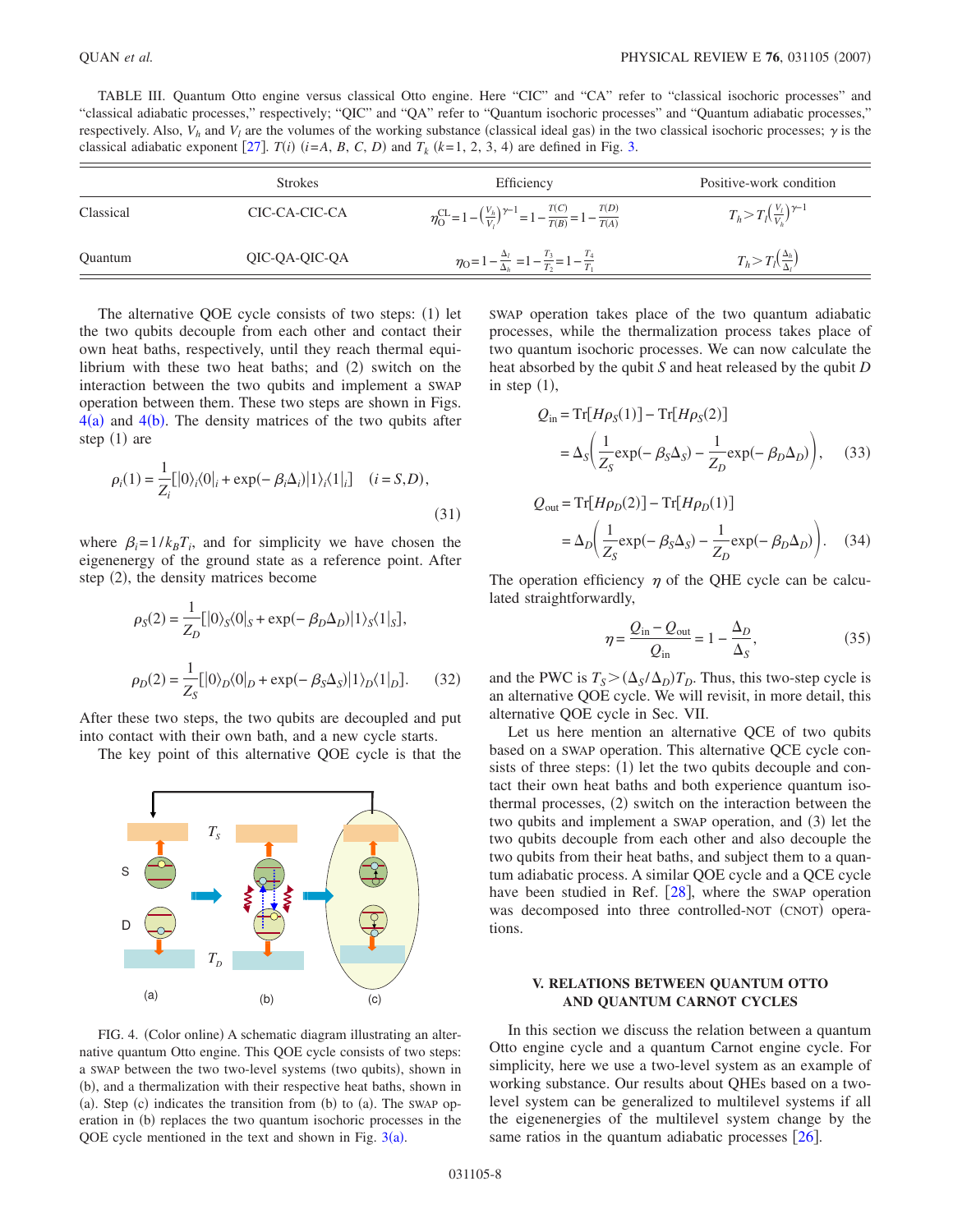<span id="page-7-0"></span>TABLE III. Quantum Otto engine versus classical Otto engine. Here "CIC" and "CA" refer to "classical isochoric processes" and "classical adiabatic processes," respectively; "QIC" and "QA" refer to "Quantum isochoric processes" and "Quantum adiabatic processes," respectively. Also,  $V_h$  and  $V_l$  are the volumes of the working substance (classical ideal gas) in the two classical isochoric processes;  $\gamma$  is the classical adiabatic exponent [[27](#page-17-8)].  $T(i)$  ( $i=A, B, C, D$ ) and  $T_k$  ( $k=1, 2, 3, 4$ ) are defined in Fig. [3.](#page-4-0)

|           | <b>Strokes</b> | Efficiency                                                                                                              | Positive-work condition                 |
|-----------|----------------|-------------------------------------------------------------------------------------------------------------------------|-----------------------------------------|
| Classical | CIC-CA-CIC-CA  | $\eta_{\rm O}^{\rm CL} = 1 - \left(\frac{V_h}{V_l}\right)^{\gamma - 1} = 1 - \frac{T(C)}{T(B)} = 1 - \frac{T(D)}{T(A)}$ | $T_h > T_l(\frac{V_l}{V_l})^{\gamma-1}$ |
| Quantum   | QIC-QA-QIC-QA  | $\eta_{\rm O} = 1 - \frac{\Delta_l}{\Delta_l} = 1 - \frac{T_3}{T_2} = 1 - \frac{T_4}{T_1}$                              | $T_h > T_l(\frac{\Delta_h}{\Delta_h})$  |

The alternative QOE cycle consists of two steps: (1) let the two qubits decouple from each other and contact their own heat baths, respectively, until they reach thermal equilibrium with these two heat baths; and (2) switch on the interaction between the two qubits and implement a SWAP operation between them. These two steps are shown in Figs.  $4(a)$  $4(a)$  and  $4(b)$ . The density matrices of the two qubits after step (1) are

$$
\rho_i(1) = \frac{1}{Z_i} [ |0\rangle_i \langle 0|_i + \exp(-\beta_i \Delta_i) |1\rangle_i \langle 1|_i ] \quad (i = S, D),
$$
\n(31)

where  $\beta_i = 1/k_B T_i$ , and for simplicity we have chosen the eigenenergy of the ground state as a reference point. After step (2), the density matrices become

$$
\rho_S(2) = \frac{1}{Z_D} [ |0\rangle_S \langle 0|_S + \exp(-\beta_D \Delta_D) |1\rangle_S \langle 1|_S ],
$$
  

$$
\rho_D(2) = \frac{1}{Z_S} [ |0\rangle_D \langle 0|_D + \exp(-\beta_S \Delta_S) |1\rangle_D \langle 1|_D ].
$$
 (32)

After these two steps, the two qubits are decoupled and put into contact with their own bath, and a new cycle starts.

The key point of this alternative QOE cycle is that the

<span id="page-7-1"></span>

FIG. 4. (Color online) A schematic diagram illustrating an alternative quantum Otto engine. This QOE cycle consists of two steps: a swap between the two two-level systems (two qubits), shown in (b), and a thermalization with their respective heat baths, shown in (a). Step (c) indicates the transition from (b) to (a). The SWAP operation in (b) replaces the two quantum isochoric processes in the QOE cycle mentioned in the text and shown in Fig.  $3(a)$  $3(a)$ .

SWAP operation takes place of the two quantum adiabatic processes, while the thermalization process takes place of two quantum isochoric processes. We can now calculate the heat absorbed by the qubit *S* and heat released by the qubit *D* in step  $(1)$ ,

$$
Q_{\text{in}} = \text{Tr}[H\rho_S(1)] - \text{Tr}[H\rho_S(2)]
$$
  
=  $\Delta_S \bigg( \frac{1}{Z_S} \exp(-\beta_S \Delta_S) - \frac{1}{Z_D} \exp(-\beta_D \Delta_D) \bigg),$  (33)

$$
Q_{\text{out}} = \text{Tr}[H\rho_D(2)] - \text{Tr}[H\rho_D(1)]
$$
  
=  $\Delta_D \bigg( \frac{1}{Z_S} \exp(-\beta_S \Delta_S) - \frac{1}{Z_D} \exp(-\beta_D \Delta_D) \bigg)$ . (34)

The operation efficiency  $\eta$  of the QHE cycle can be calculated straightforwardly,

$$
\eta = \frac{Q_{\text{in}} - Q_{\text{out}}}{Q_{\text{in}}} = 1 - \frac{\Delta_D}{\Delta_S},\tag{35}
$$

and the PWC is  $T_s$  >  $(\Delta_s/\Delta_D)T_D$ . Thus, this two-step cycle is an alternative QOE cycle. We will revisit, in more detail, this alternative QOE cycle in Sec. VII.

Let us here mention an alternative QCE of two qubits based on a SWAP operation. This alternative QCE cycle consists of three steps: (1) let the two qubits decouple and contact their own heat baths and both experience quantum isothermal processes, (2) switch on the interaction between the two qubits and implement a SWAP operation, and (3) let the two qubits decouple from each other and also decouple the two qubits from their heat baths, and subject them to a quantum adiabatic process. A similar QOE cycle and a QCE cycle have been studied in Ref.  $[28]$  $[28]$  $[28]$ , where the SWAP operation was decomposed into three controlled-NOT (CNOT) operations.

# **V. RELATIONS BETWEEN QUANTUM OTTO AND QUANTUM CARNOT CYCLES**

In this section we discuss the relation between a quantum Otto engine cycle and a quantum Carnot engine cycle. For simplicity, here we use a two-level system as an example of working substance. Our results about QHEs based on a twolevel system can be generalized to multilevel systems if all the eigenenergies of the multilevel system change by the same ratios in the quantum adiabatic processes  $[26]$  $[26]$  $[26]$ .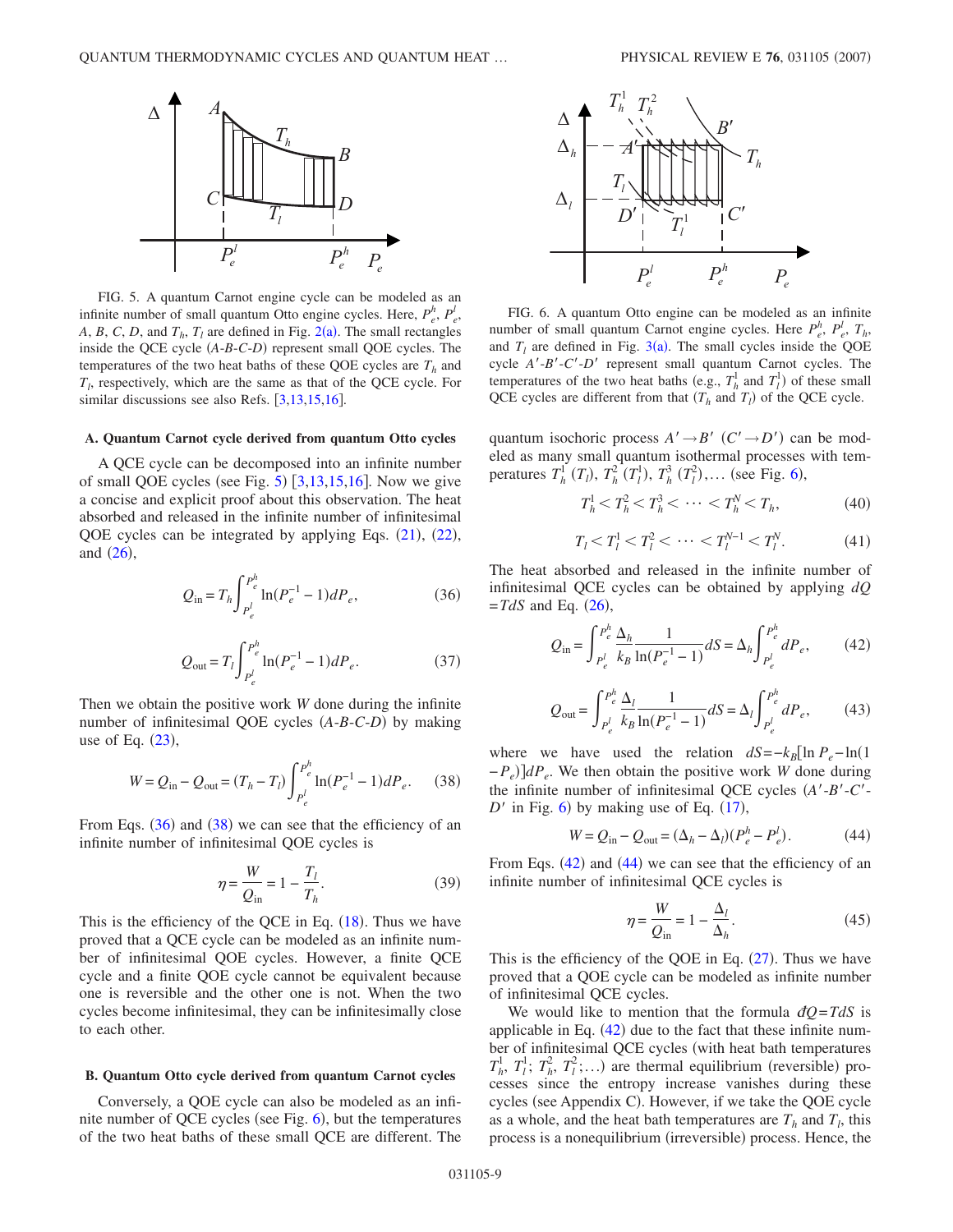<span id="page-8-2"></span>

FIG. 5. A quantum Carnot engine cycle can be modeled as an infinite number of small quantum Otto engine cycles. Here,  $P_e^h$ ,  $P_e^l$ , *A*, *B*, *C*, *D*, and  $T<sub>h</sub>$ ,  $T<sub>l</sub>$  are defined in Fig. [2](#page-3-0)(a). The small rectangles inside the QCE cycle  $(A-B-C-D)$  represent small QOE cycles. The temperatures of the two heat baths of these QOE cycles are  $T<sub>h</sub>$  and *Tl*, respectively, which are the same as that of the QCE cycle. For similar discussions see also Refs.  $[3,13,15,16]$  $[3,13,15,16]$  $[3,13,15,16]$  $[3,13,15,16]$  $[3,13,15,16]$  $[3,13,15,16]$ .

## **A. Quantum Carnot cycle derived from quantum Otto cycles**

<span id="page-8-0"></span>A QCE cycle can be decomposed into an infinite number of small QOE cycles (see Fig.  $5$ ) [[3,](#page-16-2)[13](#page-16-14)[,15](#page-16-7)[,16](#page-17-11)]. Now we give a concise and explicit proof about this observation. The heat absorbed and released in the infinite number of infinitesimal QOE cycles can be integrated by applying Eqs.  $(21)$  $(21)$  $(21)$ ,  $(22)$  $(22)$  $(22)$ , and  $(26)$  $(26)$  $(26)$ ,

$$
Q_{\rm in} = T_h \int_{P_e^l}^{P_e^h} \ln(P_e^{-1} - 1) dP_e, \tag{36}
$$

$$
Q_{\text{out}} = T_l \int_{P_e^l}^{P_e^h} \ln(P_e^{-1} - 1) dP_e.
$$
 (37)

<span id="page-8-3"></span><span id="page-8-1"></span>Then we obtain the positive work *W* done during the infinite number of infinitesimal QOE cycles *A*-*B*-*C*-*D*- by making use of Eq.  $(23)$  $(23)$  $(23)$ ,

$$
W = Q_{\rm in} - Q_{\rm out} = (T_h - T_l) \int_{P_e^l}^{P_e^h} \ln(P_e^{-1} - 1) dP_e.
$$
 (38)

From Eqs.  $(36)$  $(36)$  $(36)$  and  $(38)$  $(38)$  $(38)$  we can see that the efficiency of an infinite number of infinitesimal QOE cycles is

$$
\eta = \frac{W}{Q_{\text{in}}} = 1 - \frac{T_l}{T_h}.\tag{39}
$$

This is the efficiency of the QCE in Eq.  $(18)$  $(18)$  $(18)$ . Thus we have proved that a QCE cycle can be modeled as an infinite number of infinitesimal QOE cycles. However, a finite QCE cycle and a finite QOE cycle cannot be equivalent because one is reversible and the other one is not. When the two cycles become infinitesimal, they can be infinitesimally close to each other.

# **B. Quantum Otto cycle derived from quantum Carnot cycles**

Conversely, a QOE cycle can also be modeled as an infi-nite number of QCE cycles (see Fig. [6](#page-8-4)), but the temperatures of the two heat baths of these small QCE are different. The

<span id="page-8-4"></span>

FIG. 6. A quantum Otto engine can be modeled as an infinite number of small quantum Carnot engine cycles. Here  $P_e^h$ ,  $P_e^l$ ,  $T_h$ , and  $T_l$  are defined in Fig. [3](#page-4-0)(a). The small cycles inside the QOE cycle *A'-B'-C'-D'* represent small quantum Carnot cycles. The temperatures of the two heat baths (e.g.,  $T_h^1$  and  $T_l^1$ ) of these small QCE cycles are different from that  $(T_h$  and  $T_l$ ) of the QCE cycle.

<span id="page-8-7"></span>quantum isochoric process  $A' \rightarrow B'$   $(C' \rightarrow D')$  can be modeled as many small quantum isothermal processes with temperatures  $T_h^1(T_l)$ ,  $T_h^2(T_l^1)$ ,  $T_h^3(T_l^2)$ ,... (see Fig. [6](#page-8-4)),

$$
T_h^1 < T_h^2 < T_h^3 < \dots < T_h^N < T_h,\tag{40}
$$

$$
T_l < T_l^1 < T_l^2 < \dots < T_l^{N-1} < T_l^N. \tag{41}
$$

<span id="page-8-5"></span>The heat absorbed and released in the infinite number of infinitesimal QCE cycles can be obtained by applying *dQ*  $=TdS$  and Eq. ([26](#page-6-2)),

$$
Q_{\rm in} = \int_{P_e^l}^{P_e^h} \frac{\Delta_h}{k_B} \frac{1}{\ln(P_e^{-1} - 1)} dS = \Delta_h \int_{P_e^l}^{P_e^h} dP_e, \tag{42}
$$

$$
Q_{\text{out}} = \int_{P_e^l}^{P_e^h} \frac{\Delta_l}{k_B} \frac{1}{\ln(P_e^{-1} - 1)} dS = \Delta_l \int_{P_e^l}^{P_e^h} dP_e, \tag{43}
$$

where we have used the relation  $dS = -k_B[\ln P_e - \ln(1$  $-P_e$ )]*dP<sub>e</sub>*. We then obtain the positive work *W* done during the infinite number of infinitesimal QCE cycles *A*-*B*-*C*-  $D'$  in Fig. [6](#page-8-4)) by making use of Eq.  $(17)$  $(17)$  $(17)$ ,

$$
W = Q_{\rm in} - Q_{\rm out} = (\Delta_h - \Delta_l)(P_e^h - P_e^l). \tag{44}
$$

<span id="page-8-6"></span>From Eqs. ([42](#page-8-5)) and ([44](#page-8-6)) we can see that the efficiency of an infinite number of infinitesimal QCE cycles is

$$
\eta = \frac{W}{Q_{\text{in}}} = 1 - \frac{\Delta_l}{\Delta_h}.\tag{45}
$$

This is the efficiency of the QOE in Eq.  $(27)$  $(27)$  $(27)$ . Thus we have proved that a QOE cycle can be modeled as infinite number of infinitesimal QCE cycles.

We would like to mention that the formula  $dQ = T dS$  is applicable in Eq.  $(42)$  $(42)$  $(42)$  due to the fact that these infinite number of infinitesimal QCE cycles (with heat bath temperatures  $T_h^1$ ,  $T_l^1$ ;  $T_h^2$ ,  $T_l^2$ ;...) are thermal equilibrium (reversible) processes since the entropy increase vanishes during these cycles (see Appendix C). However, if we take the QOE cycle as a whole, and the heat bath temperatures are  $T_h$  and  $T_l$ , this process is a nonequilibrium (irreversible) process. Hence, the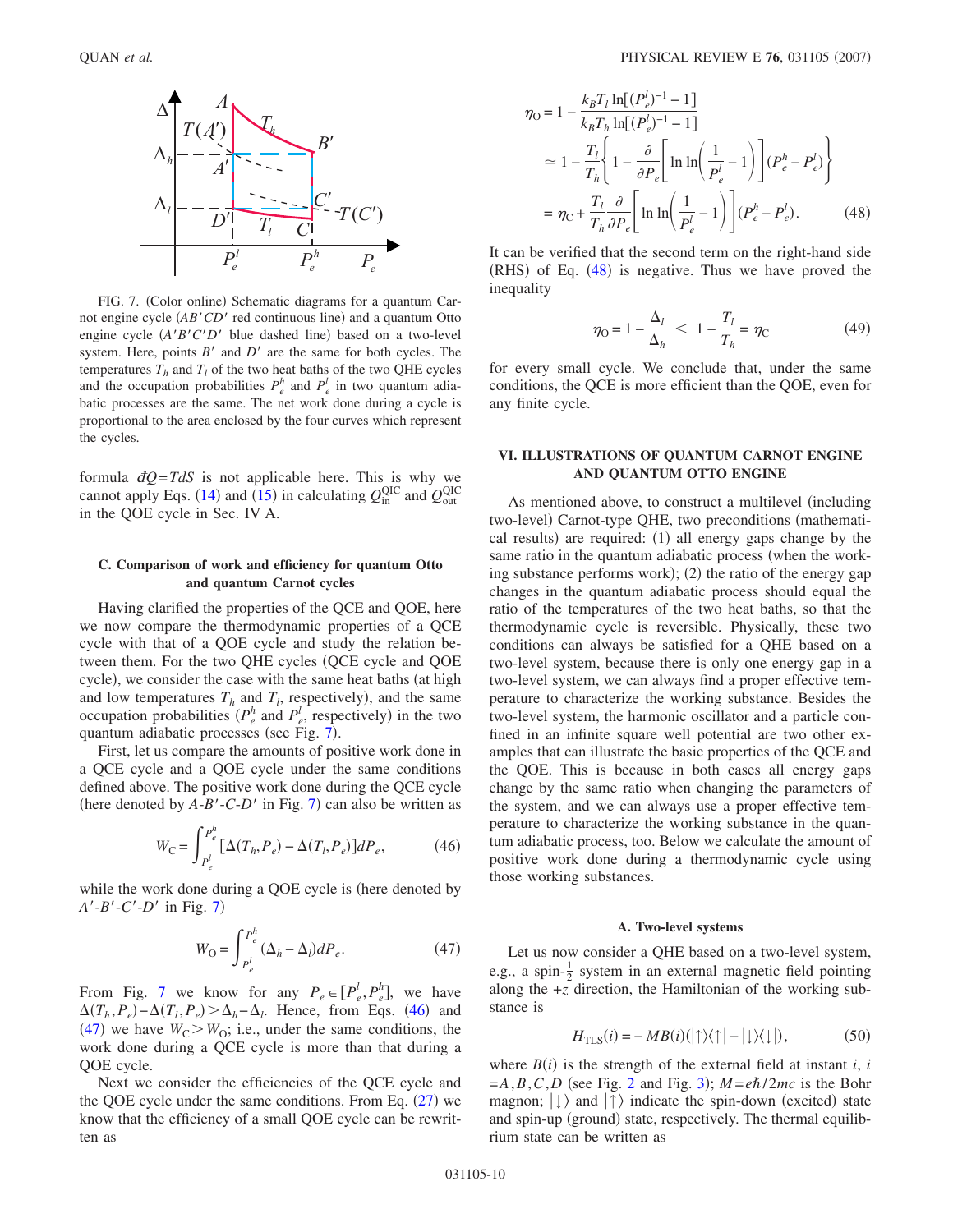<span id="page-9-0"></span>

FIG. 7. (Color online) Schematic diagrams for a quantum Carnot engine cycle (AB'CD' red continuous line) and a quantum Otto engine cycle  $(A'B'C'D'$  blue dashed line) based on a two-level system. Here, points  $B'$  and  $D'$  are the same for both cycles. The temperatures  $T_h$  and  $T_l$  of the two heat baths of the two QHE cycles and the occupation probabilities  $P_e^h$  and  $P_e^l$  in two quantum adiabatic processes are the same. The net work done during a cycle is proportional to the area enclosed by the four curves which represent the cycles.

formula  $dQ = TdS$  is not applicable here. This is why we cannot apply Eqs. ([14](#page-4-1)) and  $\overline{(15)}$  $\overline{(15)}$  $\overline{(15)}$  in calculating  $Q_{\text{in}}^{\text{QIC}}$  and  $Q_{\text{out}}^{\text{QIC}}$ in the QOE cycle in Sec. IV A.

# **C. Comparison of work and efficiency for quantum Otto and quantum Carnot cycles**

Having clarified the properties of the QCE and QOE, here we now compare the thermodynamic properties of a QCE cycle with that of a QOE cycle and study the relation between them. For the two QHE cycles QCE cycle and QOE cycle), we consider the case with the same heat baths (at high and low temperatures  $T_h$  and  $T_l$ , respectively), and the same occupation probabilities  $(P_e^h$  and  $P_e^l$ , respectively) in the two quantum adiabatic processes (see Fig. [7](#page-9-0)).

First, let us compare the amounts of positive work done in a QCE cycle and a QOE cycle under the same conditions defined above. The positive work done during the QCE cycle (here denoted by  $A - B' - C - D'$  in Fig. [7](#page-9-0)) can also be written as

$$
W_{\rm C} = \int_{P_e^l}^{P_e^h} [\Delta(T_h, P_e) - \Delta(T_l, P_e)] dP_e, \tag{46}
$$

<span id="page-9-2"></span><span id="page-9-1"></span>while the work done during a QOE cycle is (here denoted by  $A'$ -*B'*-*C'*-*D'* in Fig. [7](#page-9-0))

$$
W_{\rm O} = \int_{P_e^l}^{P_e^h} (\Delta_h - \Delta_l) dP_e.
$$
 (47)

From Fig. [7](#page-9-0) we know for any  $P_e \in [P_e^l, P_e^h]$ , we have  $\Delta(T_h, P_e) - \Delta(T_l, P_e) > \Delta_h - \Delta_l$ . Hence, from Eqs. ([46](#page-9-1)) and  $(47)$  $(47)$  $(47)$  we have  $W_C > W_O$ ; i.e., under the same conditions, the work done during a QCE cycle is more than that during a OOE cycle.

Next we consider the efficiencies of the QCE cycle and the QOE cycle under the same conditions. From Eq.  $(27)$  $(27)$  $(27)$  we know that the efficiency of a small QOE cycle can be rewritten as

<span id="page-9-3"></span>
$$
\eta_{\text{O}} = 1 - \frac{k_{B} T_{l} \ln[(P_{e}^{l})^{-1} - 1]}{k_{B} T_{h} \ln[(P_{e}^{l})^{-1} - 1]}
$$
  
\n
$$
\approx 1 - \frac{T_{l}}{T_{h}} \left\{ 1 - \frac{\partial}{\partial P_{e}} \left[ \ln \ln \left( \frac{1}{P_{e}^{l}} - 1 \right) \right] (P_{e}^{h} - P_{e}^{l}) \right\}
$$
  
\n
$$
= \eta_{\text{C}} + \frac{T_{l}}{T_{h} \partial P_{e}} \left[ \ln \ln \left( \frac{1}{P_{e}^{l}} - 1 \right) \right] (P_{e}^{h} - P_{e}^{l}). \tag{48}
$$

*l*

It can be verified that the second term on the right-hand side  $(RHS)$  of Eq.  $(48)$  $(48)$  $(48)$  is negative. Thus we have proved the inequality

$$
\eta_{\rm O} = 1 - \frac{\Delta_l}{\Delta_h} < 1 - \frac{T_l}{T_h} = \eta_{\rm C} \tag{49}
$$

for every small cycle. We conclude that, under the same conditions, the QCE is more efficient than the QOE, even for any finite cycle.

## **VI. ILLUSTRATIONS OF QUANTUM CARNOT ENGINE AND QUANTUM OTTO ENGINE**

As mentioned above, to construct a multilevel (including two-level) Carnot-type QHE, two preconditions (mathematical results) are required: (1) all energy gaps change by the same ratio in the quantum adiabatic process (when the working substance performs work); (2) the ratio of the energy gap changes in the quantum adiabatic process should equal the ratio of the temperatures of the two heat baths, so that the thermodynamic cycle is reversible. Physically, these two conditions can always be satisfied for a QHE based on a two-level system, because there is only one energy gap in a two-level system, we can always find a proper effective temperature to characterize the working substance. Besides the two-level system, the harmonic oscillator and a particle confined in an infinite square well potential are two other examples that can illustrate the basic properties of the QCE and the QOE. This is because in both cases all energy gaps change by the same ratio when changing the parameters of the system, and we can always use a proper effective temperature to characterize the working substance in the quantum adiabatic process, too. Below we calculate the amount of positive work done during a thermodynamic cycle using those working substances.

### **A. Two-level systems**

Let us now consider a QHE based on a two-level system, e.g., a spin- $\frac{1}{2}$  system in an external magnetic field pointing along the +*z* direction, the Hamiltonian of the working substance is

$$
H_{\text{TLS}}(i) = -MB(i)(|\uparrow\rangle\langle\uparrow| - |\downarrow\rangle\langle\downarrow|),\tag{50}
$$

where  $B(i)$  is the strength of the external field at instant *i*, *i*  $=$ *A*,*B*, *C*, *D* (see Fig. [2](#page-3-0) and Fig. [3](#page-4-0)); *M* = *eh*/2*mc* is the Bohr magnon;  $| \downarrow \rangle$  and  $| \uparrow \rangle$  indicate the spin-down (excited) state and spin-up (ground) state, respectively. The thermal equilibrium state can be written as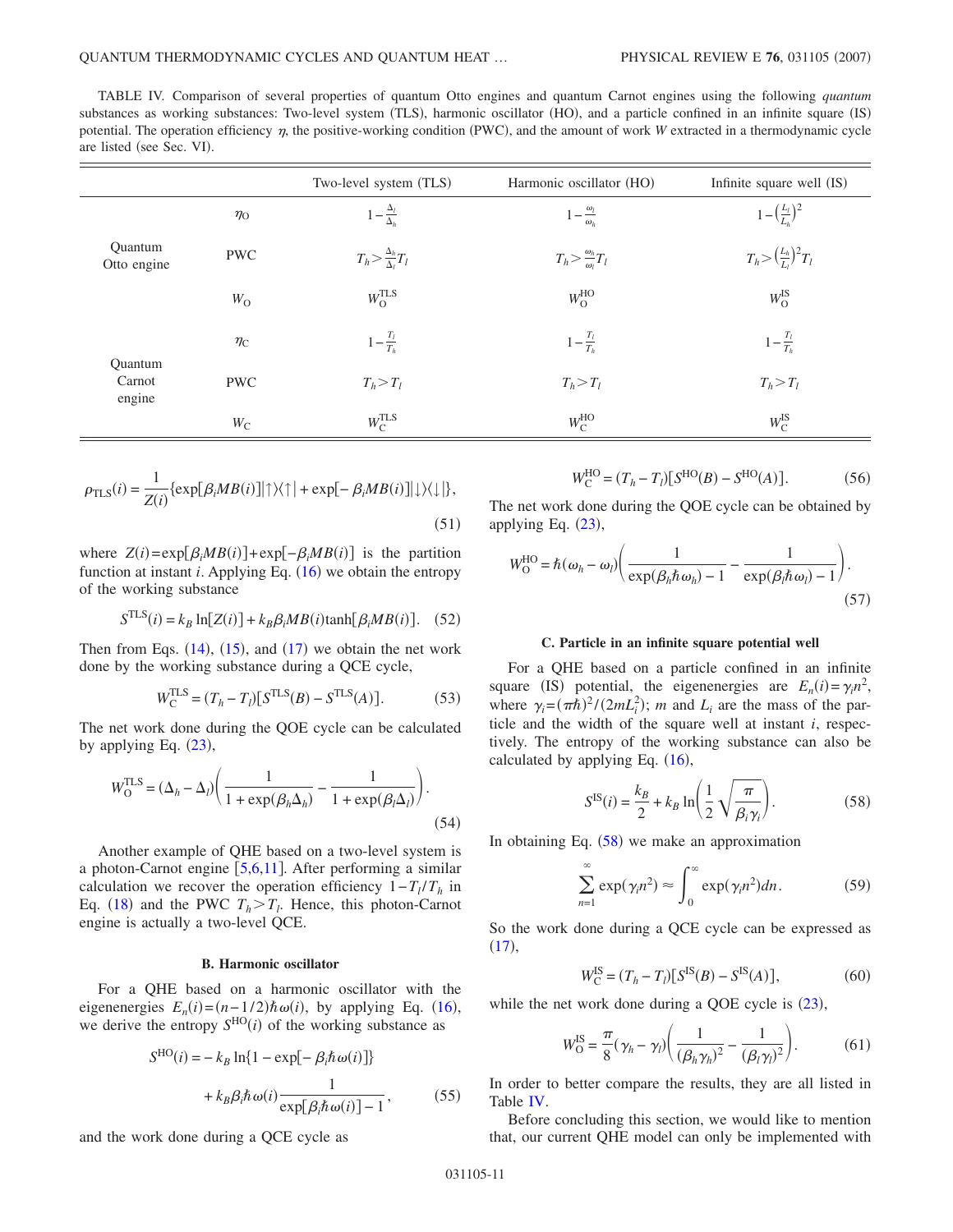<span id="page-10-1"></span>TABLE IV. Comparison of several properties of quantum Otto engines and quantum Carnot engines using the following *quantum* substances as working substances: Two-level system (TLS), harmonic oscillator (HO), and a particle confined in an infinite square (IS) potential. The operation efficiency  $\eta$ , the positive-working condition (PWC), and the amount of work *W* extracted in a thermodynamic cycle are listed (see Sec. VI).

|                             |                | Two-level system (TLS)                | Harmonic oscillator (HO)              | Infinite square well (IS)       |
|-----------------------------|----------------|---------------------------------------|---------------------------------------|---------------------------------|
|                             | $\eta_{\rm O}$ | $1-\frac{\Delta_l}{\Delta_h}$         | $1-\frac{\omega_l}{\omega_h}$         | $1 - (\frac{L_l}{L_b})^2$       |
| Quantum<br>Otto engine      | <b>PWC</b>     | $T_h > \frac{\Delta_h}{\Delta_l} T_l$ | $T_h > \frac{\omega_h}{\omega_l} T_l$ | $T_h > (\frac{L_h}{L_i})^2 T_l$ |
|                             | $W_{\rm O}$    | $W_{\rm O}^{\rm TLS}$                 | $W_{\rm O}^{\rm HO}$                  | $W_{\rm O}^{\rm IS}$            |
|                             | $\eta_{\rm C}$ | $1-\frac{T_l}{T_h}$                   | $1-\frac{T_l}{T_h}$                   | $1-\frac{T_l}{T_h}$             |
| Quantum<br>Carnot<br>engine | <b>PWC</b>     | $T_h > T_l$                           | $T_h > T_l$                           | $T_h > T_l$                     |
|                             | $W_{\rm C}$    | $W_{C}^{TLS}$                         | $W_{\rm C}^{\rm HO}$                  | $W_{C}^{\text{IS}}$             |

$$
\rho_{\text{TLS}}(i) = \frac{1}{Z(i)} \{ \exp[\beta_i M B(i)] | \uparrow \rangle \langle \uparrow | + \exp[-\beta_i M B(i)] | \downarrow \rangle \langle \downarrow | \},\tag{51}
$$

where  $Z(i) = \exp[\beta_i MB(i)] + \exp[-\beta_i MB(i)]$  is the partition function at instant *i*. Applying Eq.  $(16)$  $(16)$  $(16)$  we obtain the entropy of the working substance

$$
STLS(i) = kB ln[Z(i)] + kB \betai MB(i) tanh[\betai MB(i)]. (52)
$$

Then from Eqs.  $(14)$  $(14)$  $(14)$ ,  $(15)$  $(15)$  $(15)$ , and  $(17)$  $(17)$  $(17)$  we obtain the net work done by the working substance during a QCE cycle,

$$
W_C^{TLS} = (T_h - T_l)[S^{TLS}(B) - S^{TLS}(A)].
$$
 (53)

The net work done during the QOE cycle can be calculated by applying Eq.  $(23)$  $(23)$  $(23)$ ,

$$
W_{\text{O}}^{\text{TLS}} = (\Delta_h - \Delta_l) \left( \frac{1}{1 + \exp(\beta_h \Delta_h)} - \frac{1}{1 + \exp(\beta_l \Delta_l)} \right). \tag{54}
$$

Another example of QHE based on a two-level system is a photon-Carnot engine  $[5,6,11]$  $[5,6,11]$  $[5,6,11]$  $[5,6,11]$  $[5,6,11]$ . After performing a similar calculation we recover the operation efficiency  $1 - T_l / T_h$  in Eq. ([18](#page-4-3)) and the PWC  $T_h > T_l$ . Hence, this photon-Carnot engine is actually a two-level QCE.

#### **B. Harmonic oscillator**

For a QHE based on a harmonic oscillator with the eigenenergies  $E_n(i) = (n - 1/2) \hbar \omega(i)$ , by applying Eq. ([16](#page-4-6)), we derive the entropy  $S^{HO}(i)$  of the working substance as

$$
S^{\text{HO}}(i) = -k_B \ln\{1 - \exp[-\beta_i \hbar \omega(i)]\}
$$

$$
+ k_B \beta_i \hbar \omega(i) \frac{1}{\exp[\beta_i \hbar \omega(i)] - 1}, \qquad (55)
$$

and the work done during a QCE cycle as

$$
W_{\rm C}^{\rm HO} = (T_h - T_l)[S^{\rm HO}(B) - S^{\rm HO}(A)].
$$
 (56)

The net work done during the QOE cycle can be obtained by applying Eq.  $(23)$  $(23)$  $(23)$ ,

$$
W_{\text{O}}^{\text{HO}} = \hbar (\omega_h - \omega_l) \bigg( \frac{1}{\exp(\beta_h \hbar \omega_h) - 1} - \frac{1}{\exp(\beta_l \hbar \omega_l) - 1} \bigg). \tag{57}
$$

### **C. Particle in an infinite square potential well**

For a QHE based on a particle confined in an infinite square (IS) potential, the eigenenergies are  $E_n(i) = \gamma_i n^2$ , where  $\gamma_i = (\pi \hbar)^2 / (2mL_i^2)$ ; *m* and *L<sub>i</sub>* are the mass of the particle and the width of the square well at instant *i*, respectively. The entropy of the working substance can also be calculated by applying Eq.  $(16)$  $(16)$  $(16)$ ,

$$
S^{IS}(i) = \frac{k_B}{2} + k_B \ln\left(\frac{1}{2}\sqrt{\frac{\pi}{\beta_i \gamma_i}}\right).
$$
 (58)

<span id="page-10-0"></span>In obtaining Eq. ([58](#page-10-0)) we make an approximation

$$
\sum_{n=1}^{\infty} \exp(\gamma_i n^2) \approx \int_0^{\infty} \exp(\gamma_i n^2) dn.
$$
 (59)

So the work done during a QCE cycle can be expressed as  $(17),$  $(17),$  $(17),$ 

$$
W_{\rm C}^{\rm IS} = (T_h - T_l)[S^{\rm IS}(B) - S^{\rm IS}(A)],\tag{60}
$$

while the net work done during a QOE cycle is  $(23)$  $(23)$  $(23)$ ,

$$
W_{\rm O}^{\rm IS} = \frac{\pi}{8} (\gamma_h - \gamma_l) \bigg( \frac{1}{(\beta_h \gamma_h)^2} - \frac{1}{(\beta_l \gamma_l)^2} \bigg). \tag{61}
$$

In order to better compare the results, they are all listed in Table [IV.](#page-10-1)

Before concluding this section, we would like to mention that, our current QHE model can only be implemented with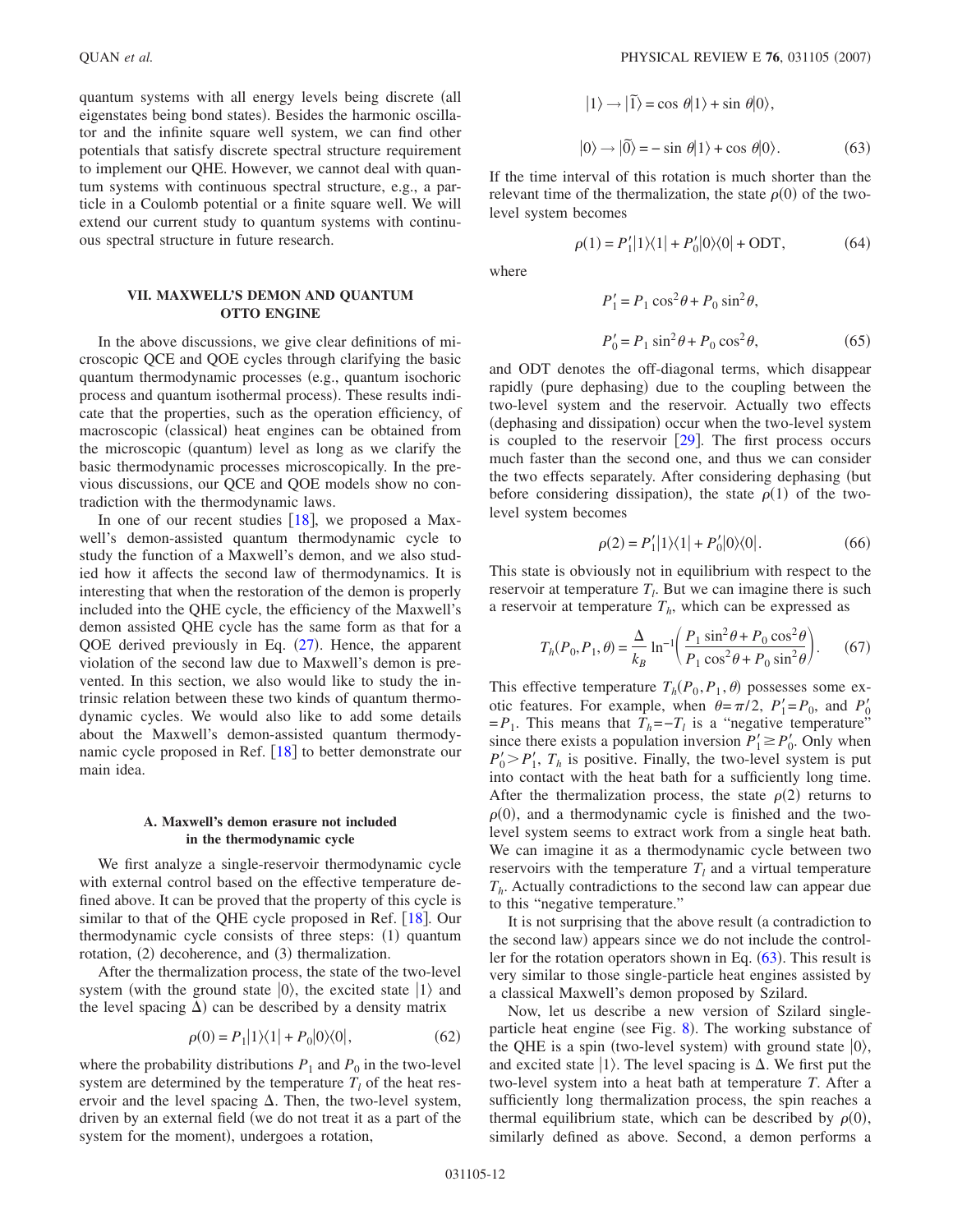quantum systems with all energy levels being discrete (all eigenstates being bond states). Besides the harmonic oscillator and the infinite square well system, we can find other potentials that satisfy discrete spectral structure requirement to implement our QHE. However, we cannot deal with quantum systems with continuous spectral structure, e.g., a particle in a Coulomb potential or a finite square well. We will extend our current study to quantum systems with continuous spectral structure in future research.

# **VII. MAXWELL'S DEMON AND QUANTUM OTTO ENGINE**

In the above discussions, we give clear definitions of microscopic QCE and QOE cycles through clarifying the basic quantum thermodynamic processes (e.g., quantum isochoric process and quantum isothermal process). These results indicate that the properties, such as the operation efficiency, of macroscopic (classical) heat engines can be obtained from the microscopic (quantum) level as long as we clarify the basic thermodynamic processes microscopically. In the previous discussions, our QCE and QOE models show no contradiction with the thermodynamic laws.

In one of our recent studies  $[18]$  $[18]$  $[18]$ , we proposed a Maxwell's demon-assisted quantum thermodynamic cycle to study the function of a Maxwell's demon, and we also studied how it affects the second law of thermodynamics. It is interesting that when the restoration of the demon is properly included into the QHE cycle, the efficiency of the Maxwell's demon assisted QHE cycle has the same form as that for a QOE derived previously in Eq. ([27](#page-6-3)). Hence, the apparent violation of the second law due to Maxwell's demon is prevented. In this section, we also would like to study the intrinsic relation between these two kinds of quantum thermodynamic cycles. We would also like to add some details about the Maxwell's demon-assisted quantum thermodynamic cycle proposed in Ref.  $[18]$  $[18]$  $[18]$  to better demonstrate our main idea.

# **A. Maxwell's demon erasure not included in the thermodynamic cycle**

We first analyze a single-reservoir thermodynamic cycle with external control based on the effective temperature defined above. It can be proved that the property of this cycle is similar to that of the QHE cycle proposed in Ref.  $|18|$  $|18|$  $|18|$ . Our thermodynamic cycle consists of three steps: (1) quantum rotation, (2) decoherence, and (3) thermalization.

After the thermalization process, the state of the two-level system (with the ground state  $|0\rangle$ , the excited state  $|1\rangle$  and the level spacing  $\Delta$ ) can be described by a density matrix

$$
\rho(0) = P_1|1\rangle\langle 1| + P_0|0\rangle\langle 0|,\tag{62}
$$

where the probability distributions  $P_1$  and  $P_0$  in the two-level system are determined by the temperature  $T_l$  of the heat reservoir and the level spacing  $\Delta$ . Then, the two-level system, driven by an external field (we do not treat it as a part of the system for the moment), undergoes a rotation,

$$
|1\rangle \rightarrow |\tilde{1}\rangle = \cos \theta |1\rangle + \sin \theta |0\rangle,
$$
  

$$
|0\rangle \rightarrow |\tilde{0}\rangle = -\sin \theta |1\rangle + \cos \theta |0\rangle.
$$
 (63)

<span id="page-11-0"></span>If the time interval of this rotation is much shorter than the relevant time of the thermalization, the state  $\rho(0)$  of the twolevel system becomes

$$
\rho(1) = P_1'|1\rangle\langle 1| + P_0'|0\rangle\langle 0| + \text{ODT},\tag{64}
$$

where

$$
P'_1 = P_1 \cos^2 \theta + P_0 \sin^2 \theta,
$$
  

$$
P'_0 = P_1 \sin^2 \theta + P_0 \cos^2 \theta,
$$
 (65)

and ODT denotes the off-diagonal terms, which disappear rapidly (pure dephasing) due to the coupling between the two-level system and the reservoir. Actually two effects (dephasing and dissipation) occur when the two-level system is coupled to the reservoir  $[29]$  $[29]$  $[29]$ . The first process occurs much faster than the second one, and thus we can consider the two effects separately. After considering dephasing (but before considering dissipation), the state  $\rho(1)$  of the twolevel system becomes

$$
\rho(2) = P_1'|1\rangle\langle 1| + P_0'|0\rangle\langle 0|.\tag{66}
$$

This state is obviously not in equilibrium with respect to the reservoir at temperature  $T_l$ . But we can imagine there is such a reservoir at temperature  $T<sub>h</sub>$ , which can be expressed as

$$
T_h(P_0, P_1, \theta) = \frac{\Delta}{k_B} \ln^{-1} \left( \frac{P_1 \sin^2 \theta + P_0 \cos^2 \theta}{P_1 \cos^2 \theta + P_0 \sin^2 \theta} \right). \tag{67}
$$

This effective temperature  $T_h(P_0, P_1, \theta)$  possesses some exotic features. For example, when  $\theta = \pi/2$ ,  $P'_1 = P_0$ , and  $P'_0$  $= P_1$ . This means that  $T_h = -T_l$  is a "negative temperature" since there exists a population inversion  $P'_1 \ge P'_0$ . Only when  $P_0' > P_1'$ ,  $T_h$  is positive. Finally, the two-level system is put into contact with the heat bath for a sufficiently long time. After the thermalization process, the state  $\rho(2)$  returns to  $\rho(0)$ , and a thermodynamic cycle is finished and the twolevel system seems to extract work from a single heat bath. We can imagine it as a thermodynamic cycle between two reservoirs with the temperature  $T_l$  and a virtual temperature *Th*. Actually contradictions to the second law can appear due to this "negative temperature."

It is not surprising that the above result (a contradiction to the second law) appears since we do not include the controller for the rotation operators shown in Eq.  $(63)$  $(63)$  $(63)$ . This result is very similar to those single-particle heat engines assisted by a classical Maxwell's demon proposed by Szilard.

Now, let us describe a new version of Szilard single-particle heat engine (see Fig. [8](#page-12-0)). The working substance of the QHE is a spin (two-level system) with ground state  $|0\rangle$ , and excited state  $|1\rangle$ . The level spacing is  $\Delta$ . We first put the two-level system into a heat bath at temperature *T*. After a sufficiently long thermalization process, the spin reaches a thermal equilibrium state, which can be described by  $\rho(0)$ , similarly defined as above. Second, a demon performs a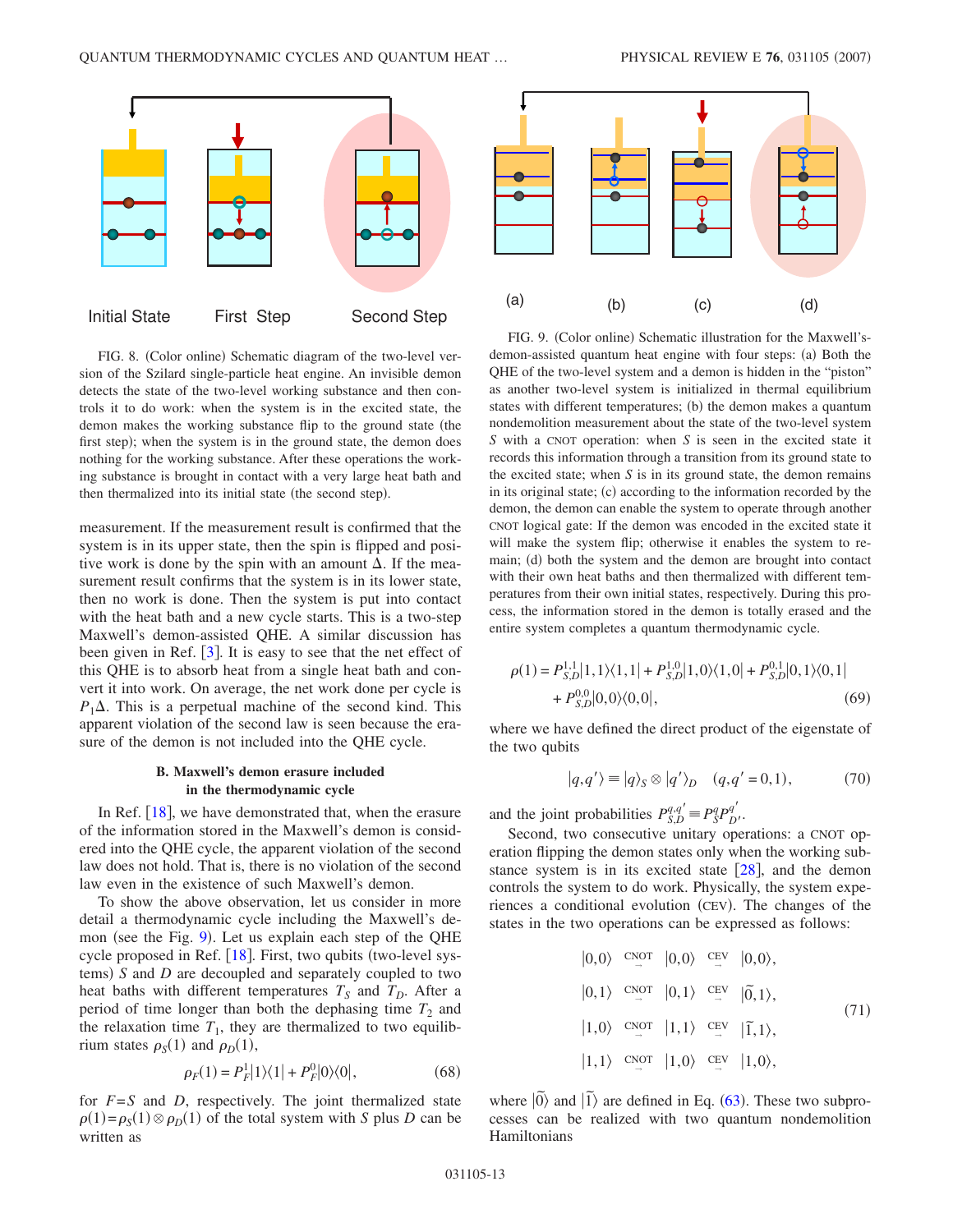<span id="page-12-0"></span>

FIG. 8. (Color online) Schematic diagram of the two-level version of the Szilard single-particle heat engine. An invisible demon detects the state of the two-level working substance and then controls it to do work: when the system is in the excited state, the demon makes the working substance flip to the ground state (the first step); when the system is in the ground state, the demon does nothing for the working substance. After these operations the working substance is brought in contact with a very large heat bath and then thermalized into its initial state (the second step).

measurement. If the measurement result is confirmed that the system is in its upper state, then the spin is flipped and positive work is done by the spin with an amount  $\Delta$ . If the measurement result confirms that the system is in its lower state, then no work is done. Then the system is put into contact with the heat bath and a new cycle starts. This is a two-step Maxwell's demon-assisted QHE. A similar discussion has been given in Ref.  $\left[3\right]$  $\left[3\right]$  $\left[3\right]$ . It is easy to see that the net effect of this QHE is to absorb heat from a single heat bath and convert it into work. On average, the net work done per cycle is  $P_1\Delta$ . This is a perpetual machine of the second kind. This apparent violation of the second law is seen because the erasure of the demon is not included into the QHE cycle.

# **B. Maxwell's demon erasure included in the thermodynamic cycle**

In Ref.  $[18]$  $[18]$  $[18]$ , we have demonstrated that, when the erasure of the information stored in the Maxwell's demon is considered into the QHE cycle, the apparent violation of the second law does not hold. That is, there is no violation of the second law even in the existence of such Maxwell's demon.

To show the above observation, let us consider in more detail a thermodynamic cycle including the Maxwell's de-mon (see the Fig. [9](#page-12-1)). Let us explain each step of the QHE cycle proposed in Ref.  $[18]$  $[18]$  $[18]$ . First, two qubits (two-level systems) *S* and *D* are decoupled and separately coupled to two heat baths with different temperatures  $T_S$  and  $T_D$ . After a period of time longer than both the dephasing time  $T_2$  and the relaxation time  $T_1$ , they are thermalized to two equilibrium states  $\rho_S(1)$  and  $\rho_D(1)$ ,

$$
\rho_F(1) = P_F^1 |1\rangle\langle 1| + P_F^0 |0\rangle\langle 0|,\tag{68}
$$

for *F*=*S* and *D*, respectively. The joint thermalized state  $\rho(1) = \rho_S(1) \otimes \rho_D(1)$  of the total system with *S* plus *D* can be written as

<span id="page-12-1"></span>

FIG. 9. (Color online) Schematic illustration for the Maxwell'sdemon-assisted quantum heat engine with four steps: (a) Both the QHE of the two-level system and a demon is hidden in the "piston" as another two-level system is initialized in thermal equilibrium states with different temperatures; (b) the demon makes a quantum nondemolition measurement about the state of the two-level system *S* with a CNOT operation: when *S* is seen in the excited state it records this information through a transition from its ground state to the excited state; when *S* is in its ground state, the demon remains in its original state; (c) according to the information recorded by the demon, the demon can enable the system to operate through another CNOT logical gate: If the demon was encoded in the excited state it will make the system flip; otherwise it enables the system to remain; (d) both the system and the demon are brought into contact with their own heat baths and then thermalized with different temperatures from their own initial states, respectively. During this process, the information stored in the demon is totally erased and the entire system completes a quantum thermodynamic cycle.

<span id="page-12-2"></span>
$$
\rho(1) = P_{S,D}^{1,1}|1,1\rangle\langle1,1| + P_{S,D}^{1,0}|1,0\rangle\langle1,0| + P_{S,D}^{0,1}|0,1\rangle\langle0,1| + P_{S,D}^{0,0}|0,0\rangle\langle0,0|,
$$
\n(69)

where we have defined the direct product of the eigenstate of the two qubits

$$
|q,q'\rangle \equiv |q\rangle_{\mathcal{S}} \otimes |q'\rangle_{D} \quad (q,q'=0,1), \tag{70}
$$

and the joint probabilities  $P_{S,D}^{q,q'} \equiv P_S^q P_D^{q'}$ .

Second, two consecutive unitary operations: a CNOT operation flipping the demon states only when the working substance system is in its excited state  $\lceil 28 \rceil$  $\lceil 28 \rceil$  $\lceil 28 \rceil$ , and the demon controls the system to do work. Physically, the system experiences a conditional evolution (CEV). The changes of the states in the two operations can be expressed as follows:

> $|0,0\rangle$  CNOT  $|0,0\rangle$  CEV CEV  $|0,0\rangle$  $|0,1\rangle$  CNOT  $|0,1\rangle$  CEV CE\  $\tilde{0},1\rangle,$  $|1,0\rangle$  CNOT  $|1,1\rangle$  CEV **CEV**  $\tilde{1},1\rangle,$  $|1,1\rangle$  CNOT  $|1,0\rangle$  CEV  $|1,0\rangle$ ,  $(71)$

where  $|\tilde{0}\rangle$  and  $|\tilde{1}\rangle$  are defined in Eq. ([63](#page-11-0)). These two subprocesses can be realized with two quantum nondemolition Hamiltonians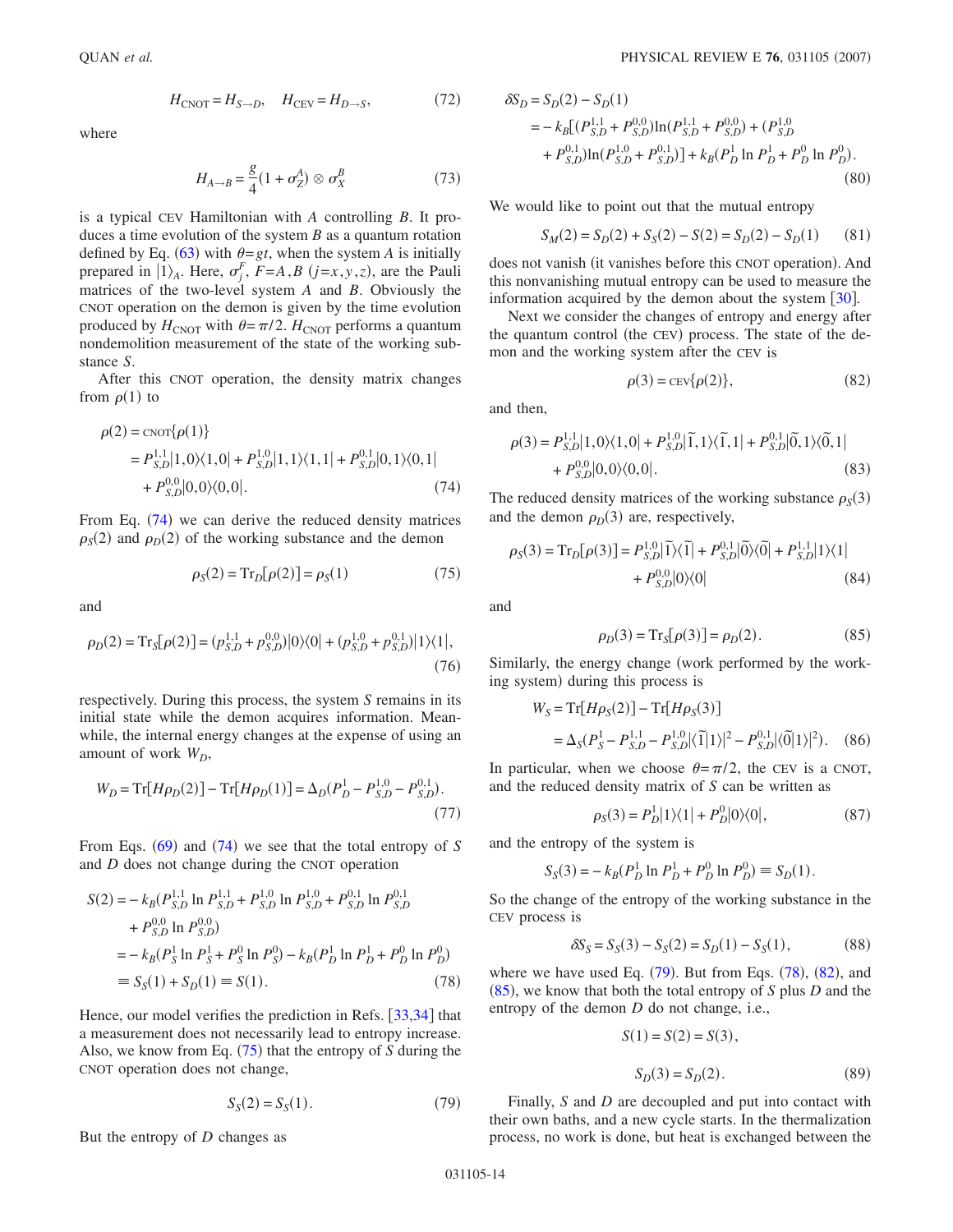$$
H_{\text{CNOT}} = H_{S \to D}, \quad H_{\text{CEV}} = H_{D \to S}, \tag{72}
$$

where

$$
H_{A\to B} = \frac{g}{4}(1 + \sigma_Z^A) \otimes \sigma_X^B \tag{73}
$$

is a typical CEV Hamiltonian with *A* controlling *B*. It produces a time evolution of the system *B* as a quantum rotation defined by Eq. ([63](#page-11-0)) with  $\theta = gt$ , when the system *A* is initially prepared in  $|1\rangle_A$ . Here,  $\sigma_j^F$ ,  $F = A$ , *B*  $(j = x, y, z)$ , are the Pauli matrices of the two-level system *A* and *B*. Obviously the CNOT operation on the demon is given by the time evolution produced by  $H_{CNOT}$  with  $\theta = \pi/2$ .  $H_{CNOT}$  performs a quantum nondemolition measurement of the state of the working substance *S*.

After this CNOT operation, the density matrix changes from  $\rho(1)$  to

<span id="page-13-0"></span>
$$
\rho(2) = \text{CNOT}\{\rho(1)\}\
$$
  
=  $P_{S,D}^{1,1}|1,0\rangle\langle1,0| + P_{S,D}^{1,0}|1,1\rangle\langle1,1| + P_{S,D}^{0,1}|0,1\rangle\langle0,1| + P_{S,D}^{0,0}|0,0\rangle\langle0,0|.$  (74)

From Eq. ([74](#page-13-0)) we can derive the reduced density matrices  $\rho_S(2)$  and  $\rho_D(2)$  of the working substance and the demon

$$
\rho_S(2) = \operatorname{Tr}_D[\rho(2)] = \rho_S(1) \tag{75}
$$

<span id="page-13-1"></span>and

$$
\rho_D(2) = \text{Tr}_S[\rho(2)] = (p_{S,D}^{1,1} + p_{S,D}^{0,0})|0\rangle\langle 0| + (p_{S,D}^{1,0} + p_{S,D}^{0,1})|1\rangle\langle 1|,
$$
\n(76)

respectively. During this process, the system *S* remains in its initial state while the demon acquires information. Meanwhile, the internal energy changes at the expense of using an amount of work  $W_D$ ,

$$
W_D = \text{Tr}[H\rho_D(2)] - \text{Tr}[H\rho_D(1)] = \Delta_D(P_D^1 - P_{S,D}^{1,0} - P_{S,D}^{0,1}).
$$
\n(77)

From Eqs. ([69](#page-12-2)) and ([74](#page-13-0)) we see that the total entropy of *S* and *D* does not change during the CNOT operation

<span id="page-13-3"></span>
$$
S(2) = -k_B (P_{S,D}^{1,1} \ln P_{S,D}^{1,1} + P_{S,D}^{1,0} \ln P_{S,D}^{1,0} + P_{S,D}^{0,1} \ln P_{S,D}^{0,1}
$$
  
+  $P_{S,D}^{0,0} \ln P_{S,D}^{0,0}$   
=  $-k_B (P_S^1 \ln P_S^1 + P_S^0 \ln P_S^0) - k_B (P_D^1 \ln P_D^1 + P_D^0 \ln P_D^0)$   
=  $S_S(1) + S_D(1) = S(1)$ . (78)

Hence, our model verifies the prediction in Refs.  $[33,34]$  $[33,34]$  $[33,34]$  $[33,34]$  that a measurement does not necessarily lead to entropy increase. Also, we know from Eq.  $(75)$  $(75)$  $(75)$  that the entropy of *S* during the CNOT operation does not change,

$$
S_S(2) = S_S(1). \t(79)
$$

<span id="page-13-2"></span>But the entropy of *D* changes as

$$
\delta S_D = S_D(2) - S_D(1)
$$
  
=  $- k_B [(P_{S,D}^{1,1} + P_{S,D}^{0,0}) \ln(P_{S,D}^{1,1} + P_{S,D}^{0,0}) + (P_{S,D}^{1,0} + P_{S,D}^{0,1}) \ln(P_{S,D}^{1,0} + P_{S,D}^{0,1})] + k_B (P_D^1 \ln P_D^1 + P_D^0 \ln P_D^0). \tag{80}$ 

We would like to point out that the mutual entropy

$$
S_M(2) = S_D(2) + S_S(2) - S(2) = S_D(2) - S_D(1)
$$
 (81)

does not vanish (it vanishes before this CNOT operation). And this nonvanishing mutual entropy can be used to measure the information acquired by the demon about the system  $\lceil 30 \rceil$  $\lceil 30 \rceil$  $\lceil 30 \rceil$ .

Next we consider the changes of entropy and energy after the quantum control (the CEV) process. The state of the demon and the working system after the CEV is

$$
\rho(3) = \text{cev}\{\rho(2)\},\tag{82}
$$

<span id="page-13-4"></span>and then,

$$
\rho(3) = P_{S,D}^{1,1}|1,0\rangle\langle1,0| + P_{S,D}^{1,0}|\tilde{1},1\rangle\langle\tilde{1},1| + P_{S,D}^{0,1}|\tilde{0},1\rangle\langle\tilde{0},1| + P_{S,D}^{0,0}|0,0\rangle\langle0,0|.
$$
 (83)

The reduced density matrices of the working substance  $\rho_S(3)$ and the demon  $\rho_D(3)$  are, respectively,

$$
\rho_S(3) = \text{Tr}_D[\rho(3)] = P_{S,D}^{1,0}|\tilde{1}\rangle\langle\tilde{1}| + P_{S,D}^{0,1}|\tilde{0}\rangle\langle\tilde{0}| + P_{S,D}^{1,1}|1\rangle\langle1| + P_{S,D}^{0,0}|0\rangle\langle0| \tag{84}
$$

<span id="page-13-5"></span>and

$$
\rho_D(3) = \text{Tr}_S[\rho(3)] = \rho_D(2). \tag{85}
$$

Similarly, the energy change (work performed by the working system) during this process is

$$
W_S = \text{Tr}[H\rho_S(2)] - \text{Tr}[H\rho_S(3)]
$$
  
=  $\Delta_S (P_S^1 - P_{S,D}^{1,1} - P_{S,D}^{1,0} | \langle \tilde{1} | 1 \rangle |^2 - P_{S,D}^{0,1} | \langle \tilde{0} | 1 \rangle |^2).$  (86)

In particular, when we choose  $\theta = \pi/2$ , the CEV is a CNOT, and the reduced density matrix of *S* can be written as

$$
\rho_S(3) = P_D^1|1\rangle\langle 1| + P_D^0|0\rangle\langle 0|,\tag{87}
$$

and the entropy of the system is

$$
S_S(3) = -k_B(P_D^1 \ln P_D^1 + P_D^0 \ln P_D^0) \equiv S_D(1).
$$

So the change of the entropy of the working substance in the CEV process is

$$
\delta S_S = S_S(3) - S_S(2) = S_D(1) - S_S(1),\tag{88}
$$

where we have used Eq.  $(79)$  $(79)$  $(79)$ . But from Eqs.  $(78)$  $(78)$  $(78)$ ,  $(82)$  $(82)$  $(82)$ , and ([85](#page-13-5)), we know that both the total entropy of *S* plus *D* and the entropy of the demon *D* do not change, i.e.,

$$
S(1) = S(2) = S(3),
$$
  
\n
$$
S_D(3) = S_D(2).
$$
 (89)

Finally, *S* and *D* are decoupled and put into contact with their own baths, and a new cycle starts. In the thermalization process, no work is done, but heat is exchanged between the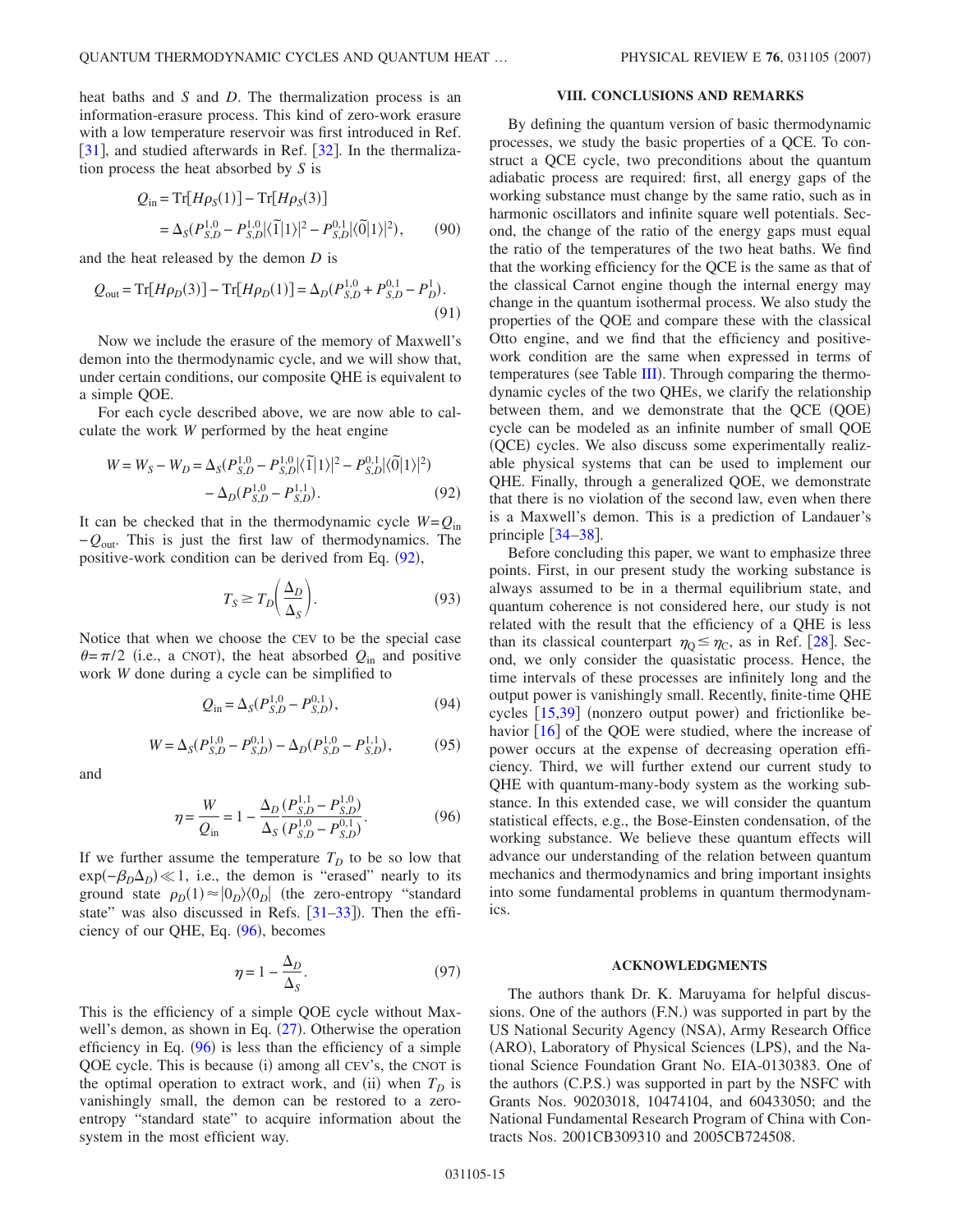heat baths and *S* and *D*. The thermalization process is an information-erasure process. This kind of zero-work erasure with a low temperature reservoir was first introduced in Ref. [[31](#page-17-16)], and studied afterwards in Ref.  $[32]$  $[32]$  $[32]$ . In the thermalization process the heat absorbed by *S* is

$$
Q_{\text{in}} = \text{Tr}[H\rho_S(1)] - \text{Tr}[H\rho_S(3)]
$$
  
=  $\Delta_S (P_{S,D}^{1,0} - P_{S,D}^{1,0} | \langle \tilde{1} | 1 \rangle |^2 - P_{S,D}^{0,1} | \langle \tilde{0} | 1 \rangle |^2),$  (90)

and the heat released by the demon *D* is

$$
Q_{\text{out}} = \text{Tr}[H\rho_D(3)] - \text{Tr}[H\rho_D(1)] = \Delta_D(P_{S,D}^{1,0} + P_{S,D}^{0,1} - P_D^1). \tag{91}
$$

Now we include the erasure of the memory of Maxwell's demon into the thermodynamic cycle, and we will show that, under certain conditions, our composite QHE is equivalent to a simple QOE.

For each cycle described above, we are now able to calculate the work *W* performed by the heat engine

<span id="page-14-0"></span>
$$
W = W_S - W_D = \Delta_S (P_{S,D}^{1,0} - P_{S,D}^{1,0} | \langle \tilde{1} | 1 \rangle |^2 - P_{S,D}^{0,1} | \langle \tilde{0} | 1 \rangle |^2) - \Delta_D (P_{S,D}^{1,0} - P_{S,D}^{1,1}).
$$
\n(92)

It can be checked that in the thermodynamic cycle  $W = Q_{\text{in}}$ −*Q*out. This is just the first law of thermodynamics. The positive-work condition can be derived from Eq. ([92](#page-14-0)),

$$
T_S \ge T_D \bigg(\frac{\Delta_D}{\Delta_S}\bigg). \tag{93}
$$

Notice that when we choose the CEV to be the special case  $\theta = \pi/2$  (i.e., a CNOT), the heat absorbed  $Q_{\text{in}}$  and positive work *W* done during a cycle can be simplified to

$$
Q_{\rm in} = \Delta_S (P_{S,D}^{1,0} - P_{S,D}^{0,1}),\tag{94}
$$

$$
W = \Delta_S (P_{S,D}^{1,0} - P_{S,D}^{0,1}) - \Delta_D (P_{S,D}^{1,0} - P_{S,D}^{1,1}),
$$
(95)

<span id="page-14-1"></span>and

$$
\eta = \frac{W}{Q_{\text{in}}} = 1 - \frac{\Delta_D}{\Delta_S} \frac{(P_{S,D}^{1,1} - P_{S,D}^{1,0})}{(P_{S,D}^{1,0} - P_{S,D}^{0,1})}.
$$
(96)

If we further assume the temperature  $T_D$  to be so low that  $\exp(-\beta_D \Delta_D) \ll 1$ , i.e., the demon is "erased" nearly to its ground state  $\rho_D(1) \approx |0_D\rangle\langle 0_D|$  (the zero-entropy "standard state" was also discussed in Refs.  $[31-33]$  $[31-33]$  $[31-33]$ ). Then the effi-ciency of our QHE, Eq. ([96](#page-14-1)), becomes

$$
\eta = 1 - \frac{\Delta_D}{\Delta_S}.\tag{97}
$$

This is the efficiency of a simple QOE cycle without Max-well's demon, as shown in Eq. ([27](#page-6-3)). Otherwise the operation efficiency in Eq.  $(96)$  $(96)$  $(96)$  is less than the efficiency of a simple QOE cycle. This is because (i) among all CEV's, the CNOT is the optimal operation to extract work, and (ii) when  $T_D$  is vanishingly small, the demon can be restored to a zeroentropy "standard state" to acquire information about the system in the most efficient way.

# **VIII. CONCLUSIONS AND REMARKS**

By defining the quantum version of basic thermodynamic processes, we study the basic properties of a QCE. To construct a QCE cycle, two preconditions about the quantum adiabatic process are required: first, all energy gaps of the working substance must change by the same ratio, such as in harmonic oscillators and infinite square well potentials. Second, the change of the ratio of the energy gaps must equal the ratio of the temperatures of the two heat baths. We find that the working efficiency for the QCE is the same as that of the classical Carnot engine though the internal energy may change in the quantum isothermal process. We also study the properties of the QOE and compare these with the classical Otto engine, and we find that the efficiency and positivework condition are the same when expressed in terms of temperatures (see Table [III](#page-7-0)). Through comparing the thermodynamic cycles of the two QHEs, we clarify the relationship between them, and we demonstrate that the QCE (QOE) cycle can be modeled as an infinite number of small QOE (QCE) cycles. We also discuss some experimentally realizable physical systems that can be used to implement our QHE. Finally, through a generalized QOE, we demonstrate that there is no violation of the second law, even when there is a Maxwell's demon. This is a prediction of Landauer's principle  $[34-38]$  $[34-38]$  $[34-38]$ .

Before concluding this paper, we want to emphasize three points. First, in our present study the working substance is always assumed to be in a thermal equilibrium state, and quantum coherence is not considered here, our study is not related with the result that the efficiency of a QHE is less than its classical counterpart  $\eta_{\Omega} \leq \eta_{\Omega}$ , as in Ref. [[28](#page-17-10)]. Second, we only consider the quasistatic process. Hence, the time intervals of these processes are infinitely long and the output power is vanishingly small. Recently, finite-time QHE cycles  $[15,39]$  $[15,39]$  $[15,39]$  $[15,39]$  (nonzero output power) and frictionlike behavior  $[16]$  $[16]$  $[16]$  of the QOE were studied, where the increase of power occurs at the expense of decreasing operation efficiency. Third, we will further extend our current study to QHE with quantum-many-body system as the working substance. In this extended case, we will consider the quantum statistical effects, e.g., the Bose-Einsten condensation, of the working substance. We believe these quantum effects will advance our understanding of the relation between quantum mechanics and thermodynamics and bring important insights into some fundamental problems in quantum thermodynamics.

## **ACKNOWLEDGMENTS**

The authors thank Dr. K. Maruyama for helpful discussions. One of the authors (F.N.) was supported in part by the US National Security Agency (NSA), Army Research Office (ARO), Laboratory of Physical Sciences (LPS), and the National Science Foundation Grant No. EIA-0130383. One of the authors (C.P.S.) was supported in part by the NSFC with Grants Nos. 90203018, 10474104, and 60433050; and the National Fundamental Research Program of China with Contracts Nos. 2001CB309310 and 2005CB724508.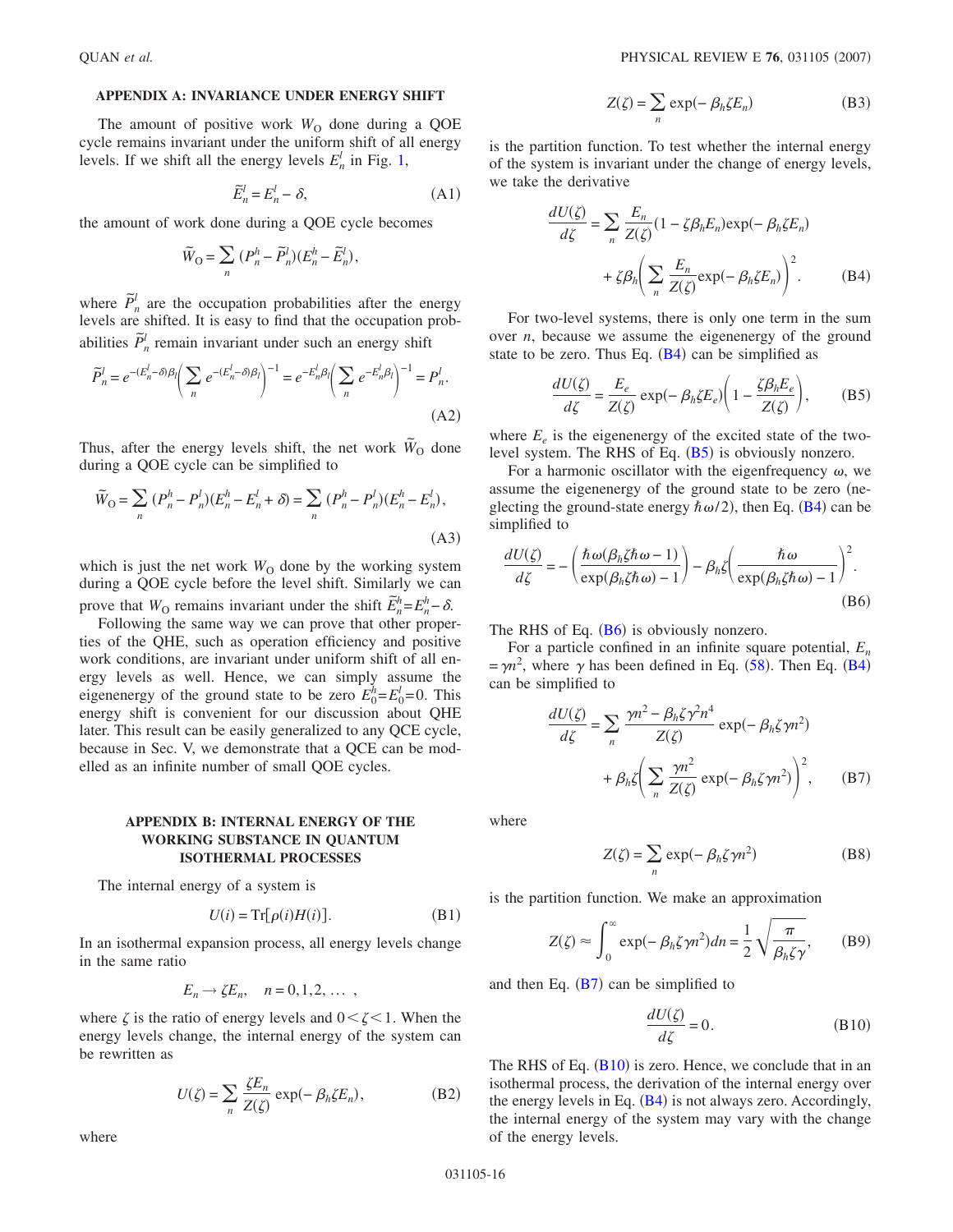# **APPENDIX A: INVARIANCE UNDER ENERGY SHIFT**

The amount of positive work  $W<sub>O</sub>$  done during a QOE cycle remains invariant under the uniform shift of all energy levels. If we shift all the energy levels  $E_n^l$  in Fig. [1,](#page-1-0)

$$
\widetilde{E}_n^l = E_n^l - \delta,\tag{A1}
$$

the amount of work done during a QOE cycle becomes

$$
\widetilde{W}_{\rm O} = \sum_n (P_n^h - \widetilde{P}_n^l)(E_n^h - \widetilde{E}_n^l),
$$

where  $\tilde{P}_n^l$  are the occupation probabilities after the energy levels are shifted. It is easy to find that the occupation probabilities  $\tilde{P}_n^l$  remain invariant under such an energy shift

$$
\widetilde{P}_n^l = e^{-(E_n^l - \delta)\beta_l} \left( \sum_n e^{-(E_n^l - \delta)\beta_l} \right)^{-1} = e^{-E_n^l \beta_l} \left( \sum_n e^{-E_n^l \beta_l} \right)^{-1} = P_n^l.
$$
\n(A2)

Thus, after the energy levels shift, the net work  $\tilde{W}_{O}$  done during a QOE cycle can be simplified to

$$
\widetilde{W}_{\mathcal{O}} = \sum_{n} (P_n^h - P_n^l)(E_n^h - E_n^l + \delta) = \sum_{n} (P_n^h - P_n^l)(E_n^h - E_n^l),
$$
\n(A3)

which is just the net work  $W<sub>O</sub>$  done by the working system during a QOE cycle before the level shift. Similarly we can prove that *W*<sup>O</sup> remains invariant under the shift  $\tilde{E}_n^h = E_n^h - \delta$ .

Following the same way we can prove that other properties of the QHE, such as operation efficiency and positive work conditions, are invariant under uniform shift of all energy levels as well. Hence, we can simply assume the eigenenergy of the ground state to be zero  $E_0^h = E_0^l = 0$ . This energy shift is convenient for our discussion about QHE later. This result can be easily generalized to any QCE cycle, because in Sec. V, we demonstrate that a QCE can be modelled as an infinite number of small QOE cycles.

# **APPENDIX B: INTERNAL ENERGY OF THE WORKING SUBSTANCE IN QUANTUM ISOTHERMAL PROCESSES**

The internal energy of a system is

$$
U(i) = \operatorname{Tr}[\rho(i)H(i)].
$$
 (B1)

In an isothermal expansion process, all energy levels change in the same ratio

$$
E_n \to \zeta E_n, \quad n = 0, 1, 2, \ldots ,
$$

where  $\zeta$  is the ratio of energy levels and  $0 < \zeta < 1$ . When the energy levels change, the internal energy of the system can be rewritten as

$$
U(\zeta) = \sum_{n} \frac{\zeta E_n}{Z(\zeta)} \exp(-\beta_h \zeta E_n), \tag{B2}
$$

 $Z(\zeta) = \sum_{n} \exp(-\beta_n \zeta E_n)$  $(B3)$ 

<span id="page-15-0"></span>is the partition function. To test whether the internal energy of the system is invariant under the change of energy levels, we take the derivative

$$
\frac{dU(\zeta)}{d\zeta} = \sum_{n} \frac{E_n}{Z(\zeta)} (1 - \zeta \beta_h E_n) \exp(-\beta_h \zeta E_n)
$$

$$
+ \zeta \beta_h \left( \sum_{n} \frac{E_n}{Z(\zeta)} \exp(-\beta_h \zeta E_n) \right)^2.
$$
(B4)

For two-level systems, there is only one term in the sum over *n*, because we assume the eigenenergy of the ground state to be zero. Thus Eq.  $(B4)$  $(B4)$  $(B4)$  can be simplified as

$$
\frac{dU(\zeta)}{d\zeta} = \frac{E_e}{Z(\zeta)} \exp(-\beta_h \zeta E_e) \left(1 - \frac{\zeta \beta_h E_e}{Z(\zeta)}\right),\tag{B5}
$$

<span id="page-15-1"></span>where  $E_e$  is the eigenenergy of the excited state of the two-level system. The RHS of Eq. ([B5](#page-15-1)) is obviously nonzero.

For a harmonic oscillator with the eigenfrequency  $\omega$ , we assume the eigenenergy of the ground state to be zero (neglecting the ground-state energy  $\hbar \omega/2$ , then Eq. ([B4](#page-15-0)) can be simplified to

<span id="page-15-2"></span>
$$
\frac{dU(\zeta)}{d\zeta} = -\left(\frac{\hbar\omega(\beta_h\zeta\hbar\omega - 1)}{\exp(\beta_h\zeta\hbar\omega) - 1}\right) - \beta_h\zeta\left(\frac{\hbar\omega}{\exp(\beta_h\zeta\hbar\omega) - 1}\right)^2.
$$
\n(B6)

The RHS of Eq.  $(B6)$  $(B6)$  $(B6)$  is obviously nonzero.

<span id="page-15-3"></span>For a particle confined in an infinite square potential, *En*  $=\gamma n^2$ , where  $\gamma$  has been defined in Eq. ([58](#page-10-0)). Then Eq. ([B4](#page-15-0)) can be simplified to

$$
\frac{dU(\zeta)}{d\zeta} = \sum_{n} \frac{\gamma n^2 - \beta_h \zeta \gamma^2 n^4}{Z(\zeta)} \exp(-\beta_h \zeta \gamma n^2) + \beta_h \zeta \left(\sum_{n} \frac{\gamma n^2}{Z(\zeta)} \exp(-\beta_h \zeta \gamma n^2)\right)^2, \quad (B7)
$$

where

$$
Z(\zeta) = \sum_{n} \exp(-\beta_h \zeta \gamma n^2)
$$
 (B8)

is the partition function. We make an approximation

$$
Z(\zeta) \approx \int_0^\infty \exp(-\beta_h \zeta \gamma n^2) dn = \frac{1}{2} \sqrt{\frac{\pi}{\beta_h \zeta \gamma}},
$$
 (B9)

<span id="page-15-4"></span>and then Eq.  $(B7)$  $(B7)$  $(B7)$  can be simplified to

$$
\frac{dU(\zeta)}{d\zeta} = 0.
$$
 (B10)

The RHS of Eq. ([B10](#page-15-4)) is zero. Hence, we conclude that in an isothermal process, the derivation of the internal energy over the energy levels in Eq.  $(B4)$  $(B4)$  $(B4)$  is not always zero. Accordingly, the internal energy of the system may vary with the change of the energy levels.

where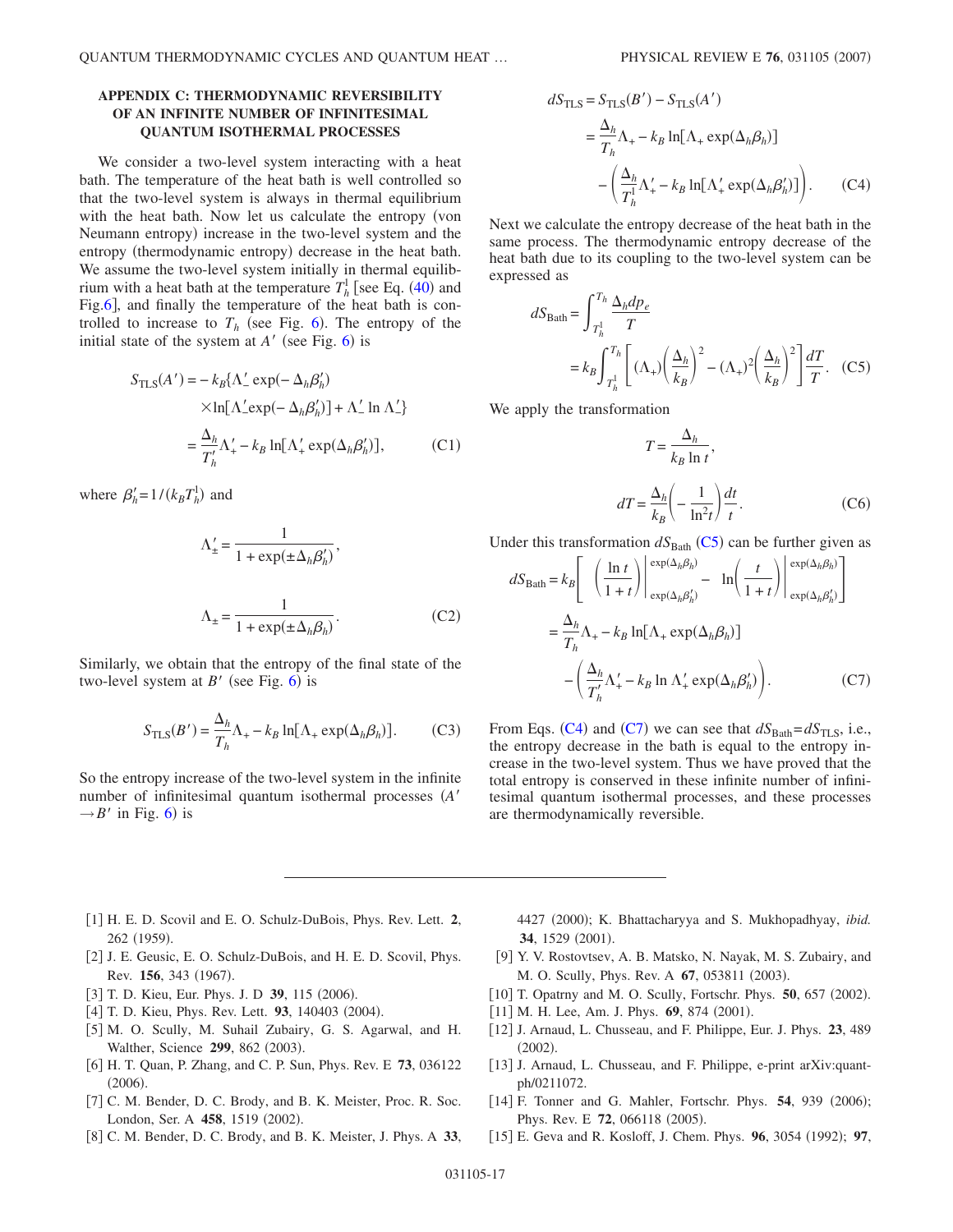# **APPENDIX C: THERMODYNAMIC REVERSIBILITY OF AN INFINITE NUMBER OF INFINITESIMAL QUANTUM ISOTHERMAL PROCESSES**

We consider a two-level system interacting with a heat bath. The temperature of the heat bath is well controlled so that the two-level system is always in thermal equilibrium with the heat bath. Now let us calculate the entropy (von Neumann entropy) increase in the two-level system and the entropy (thermodynamic entropy) decrease in the heat bath. We assume the two-level system initially in thermal equilibrium with a heat bath at the temperature  $T_h^1$  [see Eq. ([40](#page-8-7)) and Fig[.6](#page-8-4)], and finally the temperature of the heat bath is controlled to increase to  $T<sub>h</sub>$  (see Fig. [6](#page-8-4)). The entropy of the initial state of the system at  $A'$  (see Fig. [6](#page-8-4)) is

$$
S_{\text{TLS}}(A') = -k_B \{\Lambda'_{\perp} \exp(-\Delta_h \beta'_h) \times \ln[\Lambda'_{\perp} \exp(-\Delta_h \beta'_h)] + \Lambda'_{\perp} \ln \Lambda'_{\perp} \}
$$

$$
= \frac{\Delta_h}{T'_h} \Lambda'_+ - k_B \ln[\Lambda'_+ \exp(\Delta_h \beta'_h)], \qquad (C1)
$$

where  $\beta'_h = 1/(k_B T_h^1)$  and

$$
\Lambda_{\pm}' = \frac{1}{1 + \exp(\pm \Delta_h \beta_h')} ,
$$
  

$$
\Lambda_{\pm} = \frac{1}{1 + \exp(\pm \Delta_h \beta_h)} .
$$
 (C2)

Similarly, we obtain that the entropy of the final state of the two-level system at  $B'$  (see Fig. [6](#page-8-4)) is

$$
S_{\text{TLS}}(B') = \frac{\Delta_h}{T_h} \Lambda_+ - k_B \ln[\Lambda_+ \exp(\Delta_h \beta_h)].
$$
 (C3)

So the entropy increase of the two-level system in the infinite number of infinitesimal quantum isothermal processes *A*  $\rightarrow$  *B'* in Fig. [6](#page-8-4)) is

<span id="page-16-17"></span>
$$
dS_{\text{TLS}} = S_{\text{TLS}}(B') - S_{\text{TLS}}(A')
$$
  
= 
$$
\frac{\Delta_h}{T_h} \Lambda_+ - k_B \ln[\Lambda_+ \exp(\Delta_h \beta_h)]
$$
  

$$
- \left(\frac{\Delta_h}{T_h^1} \Lambda_+' - k_B \ln[\Lambda_+' \exp(\Delta_h \beta_h')] \right).
$$
 (C4)

Next we calculate the entropy decrease of the heat bath in the same process. The thermodynamic entropy decrease of the heat bath due to its coupling to the two-level system can be expressed as

<span id="page-16-16"></span>
$$
dS_{\text{Bath}} = \int_{T_h^1}^{T_h} \frac{\Delta_h dp_e}{T} = k_B \int_{T_h^1}^{T_h} \left[ (\Lambda_+) \left( \frac{\Delta_h}{k_B} \right)^2 - (\Lambda_+)^2 \left( \frac{\Delta_h}{k_B} \right)^2 \right] \frac{dT}{T}.
$$
 (C5)

We apply the transformation

$$
T = \frac{\Delta_h}{k_B \ln t},
$$
  

$$
dT = \frac{\Delta_h}{k_B} \left( -\frac{1}{\ln^2 t} \right) \frac{dt}{t}.
$$
 (C6)

<span id="page-16-18"></span>

Under this transformation 
$$
dS_{\text{Bath}}(CS)
$$
 can be further given as  
\n
$$
dS_{\text{Bath}} = k_B \left[ \left. \left( \frac{\ln t}{1+t} \right) \right| \begin{array}{l} \exp(\Delta_h \beta_h) \\ \exp(\Delta_h \beta'_h) \end{array} - \ln \left( \frac{t}{1+t} \right) \Big| \begin{array}{l} \exp(\Delta_h \beta_h) \\ \exp(\Delta_h \beta'_h) \end{array} \right]
$$
\n
$$
= \frac{\Delta_h}{T_h} \Lambda_+ - k_B \ln [\Lambda_+ \exp(\Delta_h \beta'_h)]
$$
\n
$$
- \left( \frac{\Delta_h}{T_h'} \Lambda_+' - k_B \ln \Lambda_+' \exp(\Delta_h \beta'_h) \right). \tag{C7}
$$

From Eqs. ([C4](#page-16-17)) and ([C7](#page-16-18)) we can see that  $dS_{\text{Bath}} = dS_{\text{TLS}}$ , i.e., the entropy decrease in the bath is equal to the entropy increase in the two-level system. Thus we have proved that the total entropy is conserved in these infinite number of infinitesimal quantum isothermal processes, and these processes are thermodynamically reversible.

- <span id="page-16-0"></span>1 H. E. D. Scovil and E. O. Schulz-DuBois, Phys. Rev. Lett. **2**, 262 (1959).
- <span id="page-16-1"></span>[2] J. E. Geusic, E. O. Schulz-DuBois, and H. E. D. Scovil, Phys. Rev. 156, 343 (1967).
- <span id="page-16-2"></span>[3] T. D. Kieu, Eur. Phys. J. D 39, 115 (2006).
- <span id="page-16-3"></span>[4] T. D. Kieu, Phys. Rev. Lett. 93, 140403 (2004).
- <span id="page-16-4"></span>[5] M. O. Scully, M. Suhail Zubairy, G. S. Agarwal, and H. Walther, Science 299, 862 (2003).
- <span id="page-16-5"></span>6 H. T. Quan, P. Zhang, and C. P. Sun, Phys. Rev. E **73**, 036122  $(2006).$
- <span id="page-16-11"></span>[7] C. M. Bender, D. C. Brody, and B. K. Meister, Proc. R. Soc. London, Ser. A **458**, 1519 (2002).
- <span id="page-16-12"></span>8 C. M. Bender, D. C. Brody, and B. K. Meister, J. Phys. A **33**,

<span id="page-16-8"></span>4427 (2000); K. Bhattacharyya and S. Mukhopadhyay, *ibid.* 34, 1529 (2001).

- <span id="page-16-9"></span>9 Y. V. Rostovtsev, A. B. Matsko, N. Nayak, M. S. Zubairy, and M. O. Scully, Phys. Rev. A **67**, 053811 (2003).
- <span id="page-16-10"></span>[10] T. Opatrny and M. O. Scully, Fortschr. Phys. 50, 657 (2002).
- <span id="page-16-15"></span>[11] M. H. Lee, Am. J. Phys. 69, 874 (2001).
- <span id="page-16-13"></span>12 J. Arnaud, L. Chusseau, and F. Philippe, Eur. J. Phys. **23**, 489  $(2002).$
- <span id="page-16-14"></span>[13] J. Arnaud, L. Chusseau, and F. Philippe, e-print arXiv:quantph/0211072.
- <span id="page-16-6"></span>[14] F. Tonner and G. Mahler, Fortschr. Phys. 54, 939 (2006); Phys. Rev. E 72, 066118 (2005).
- <span id="page-16-7"></span>[15] E. Geva and R. Kosloff, J. Chem. Phys. **96**, 3054 (1992); **97**,